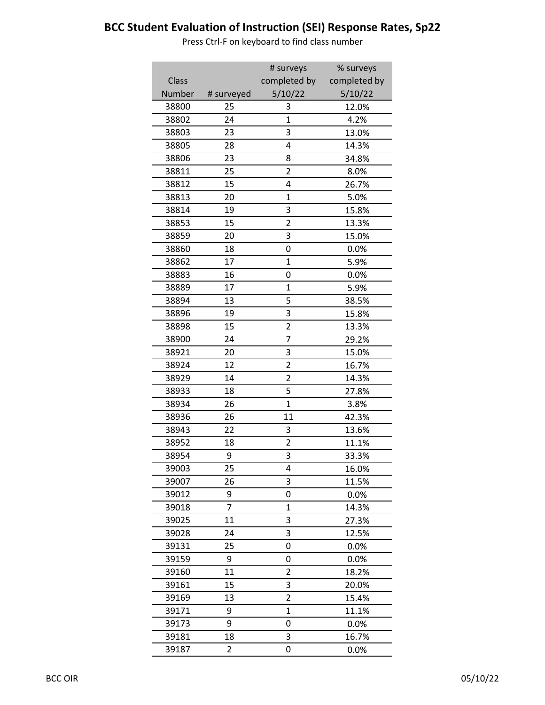|        |            | # surveys               | % surveys    |
|--------|------------|-------------------------|--------------|
| Class  |            | completed by            | completed by |
| Number | # surveyed | 5/10/22                 | 5/10/22      |
| 38800  | 25         | 3                       | 12.0%        |
| 38802  | 24         | 1                       | 4.2%         |
| 38803  | 23         | 3                       | 13.0%        |
| 38805  | 28         | 4                       | 14.3%        |
| 38806  | 23         | 8                       | 34.8%        |
| 38811  | 25         | 2                       | 8.0%         |
| 38812  | 15         | 4                       | 26.7%        |
| 38813  | 20         | $\overline{1}$          | 5.0%         |
| 38814  | 19         | 3                       | 15.8%        |
| 38853  | 15         | $\overline{2}$          | 13.3%        |
| 38859  | 20         | 3                       | 15.0%        |
| 38860  | 18         | 0                       | 0.0%         |
| 38862  | 17         | 1                       | 5.9%         |
| 38883  | 16         | 0                       | 0.0%         |
| 38889  | 17         | 1                       | 5.9%         |
| 38894  | 13         | 5                       | 38.5%        |
| 38896  | 19         | 3                       | 15.8%        |
| 38898  | 15         | $\overline{2}$          | 13.3%        |
| 38900  | 24         | $\overline{7}$          | 29.2%        |
| 38921  | 20         | 3                       | 15.0%        |
| 38924  | 12         | $\overline{2}$          | 16.7%        |
| 38929  | 14         | $\overline{\mathbf{c}}$ | 14.3%        |
| 38933  | 18         | 5                       | 27.8%        |
| 38934  | 26         | $\overline{1}$          | 3.8%         |
| 38936  | 26         | 11                      | 42.3%        |
| 38943  | 22         | 3                       | 13.6%        |
| 38952  | 18         | $\overline{2}$          | 11.1%        |
| 38954  | 9          | 3                       | 33.3%        |
| 39003  | 25         | 4                       | 16.0%        |
| 39007  | 26         | 3                       | 11.5%        |
| 39012  | 9          | 0                       | 0.0%         |
| 39018  | 7          | 1                       | 14.3%        |
| 39025  | 11         | 3                       | 27.3%        |
| 39028  | 24         | 3                       | 12.5%        |
| 39131  | 25         | 0                       | 0.0%         |
| 39159  | 9          | 0                       | 0.0%         |
| 39160  | 11         | 2                       | 18.2%        |
| 39161  | 15         | 3                       | 20.0%        |
| 39169  | 13         | 2                       | 15.4%        |
| 39171  | 9          | $\overline{1}$          | 11.1%        |
| 39173  | 9          | 0                       | 0.0%         |
| 39181  | 18         | 3                       | 16.7%        |
| 39187  | 2          | 0                       | 0.0%         |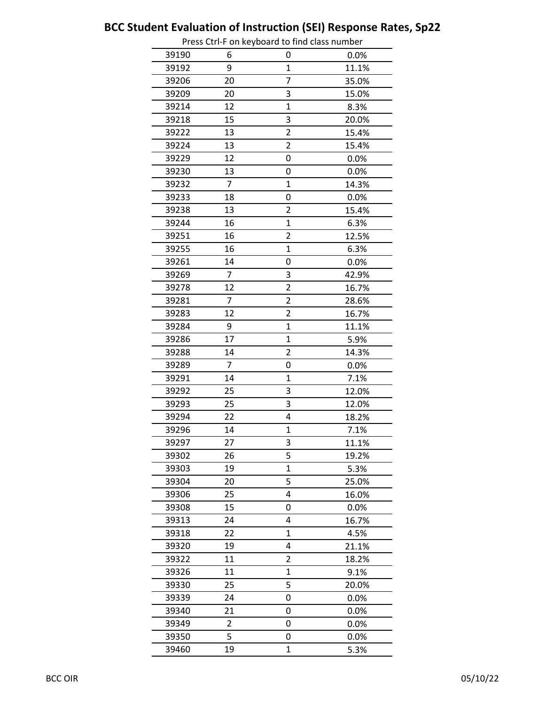|       |                | Press Cur-F on Reyboard to mid class number |       |
|-------|----------------|---------------------------------------------|-------|
| 39190 | 6              | 0                                           | 0.0%  |
| 39192 | 9              | $\overline{1}$                              | 11.1% |
| 39206 | 20             | 7                                           | 35.0% |
| 39209 | 20             | 3                                           | 15.0% |
| 39214 | 12             | $\overline{1}$                              | 8.3%  |
| 39218 | 15             | 3                                           | 20.0% |
| 39222 | 13             | $\overline{\mathbf{c}}$                     | 15.4% |
| 39224 | 13             | 2                                           | 15.4% |
| 39229 | 12             | 0                                           | 0.0%  |
| 39230 | 13             | 0                                           | 0.0%  |
| 39232 | 7              | $\overline{1}$                              | 14.3% |
| 39233 | 18             | 0                                           | 0.0%  |
| 39238 | 13             | 2                                           | 15.4% |
| 39244 | 16             | 1                                           | 6.3%  |
| 39251 | 16             | $\overline{2}$                              | 12.5% |
| 39255 | 16             | $\overline{1}$                              | 6.3%  |
| 39261 | 14             | 0                                           | 0.0%  |
| 39269 | $\overline{7}$ | 3                                           | 42.9% |
| 39278 | 12             | 2                                           | 16.7% |
| 39281 | 7              | $\overline{2}$                              | 28.6% |
| 39283 | 12             | $\overline{c}$                              | 16.7% |
| 39284 | 9              | $\overline{1}$                              | 11.1% |
| 39286 | 17             | $\overline{1}$                              | 5.9%  |
| 39288 | 14             | 2                                           | 14.3% |
| 39289 | 7              | 0                                           | 0.0%  |
| 39291 | 14             | $\mathbf{1}$                                | 7.1%  |
| 39292 | 25             | 3                                           | 12.0% |
| 39293 | 25             | 3                                           | 12.0% |
| 39294 | 22             | 4                                           | 18.2% |
| 39296 | 14             | $\overline{1}$                              | 7.1%  |
| 39297 | 27             | 3                                           | 11.1% |
| 39302 | 26             | 5                                           | 19.2% |
| 39303 | 19             | $\overline{1}$                              | 5.3%  |
| 39304 | 20             | 5                                           | 25.0% |
| 39306 | 25             | 4                                           | 16.0% |
| 39308 | 15             | 0                                           | 0.0%  |
| 39313 | 24             | 4                                           | 16.7% |
| 39318 | 22             | 1                                           | 4.5%  |
| 39320 | 19             | 4                                           | 21.1% |
| 39322 | 11             | 2                                           | 18.2% |
| 39326 | 11             | 1                                           | 9.1%  |
| 39330 | 25             | 5                                           | 20.0% |
| 39339 | 24             | 0                                           | 0.0%  |
| 39340 | 21             | 0                                           | 0.0%  |
| 39349 | 2              | 0                                           | 0.0%  |
| 39350 | 5              | 0                                           | 0.0%  |
| 39460 | 19             | $\mathbf{1}$                                | 5.3%  |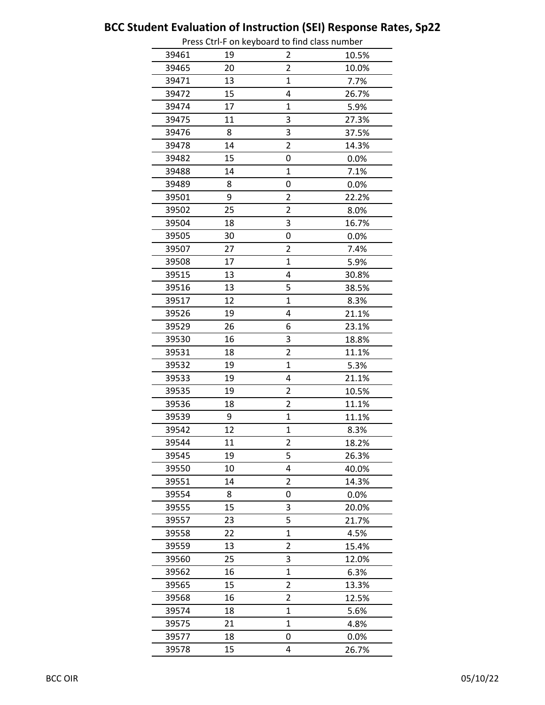|       |    | Press Cur-Flori Reyboard to mid class number |       |
|-------|----|----------------------------------------------|-------|
| 39461 | 19 | 2                                            | 10.5% |
| 39465 | 20 | $\overline{2}$                               | 10.0% |
| 39471 | 13 | 1                                            | 7.7%  |
| 39472 | 15 | 4                                            | 26.7% |
| 39474 | 17 | 1                                            | 5.9%  |
| 39475 | 11 | 3                                            | 27.3% |
| 39476 | 8  | 3                                            | 37.5% |
| 39478 | 14 | $\overline{\mathbf{c}}$                      | 14.3% |
| 39482 | 15 | 0                                            | 0.0%  |
| 39488 | 14 | $\overline{1}$                               | 7.1%  |
| 39489 | 8  | 0                                            | 0.0%  |
| 39501 | 9  | 2                                            | 22.2% |
| 39502 | 25 | $\overline{2}$                               | 8.0%  |
| 39504 | 18 | 3                                            | 16.7% |
| 39505 | 30 | 0                                            | 0.0%  |
| 39507 | 27 | $\overline{2}$                               | 7.4%  |
| 39508 | 17 | $\mathbf 1$                                  | 5.9%  |
| 39515 | 13 | 4                                            | 30.8% |
| 39516 | 13 | 5                                            | 38.5% |
| 39517 | 12 | $\mathbf{1}$                                 | 8.3%  |
| 39526 | 19 | 4                                            | 21.1% |
| 39529 | 26 | 6                                            | 23.1% |
| 39530 | 16 | 3                                            | 18.8% |
| 39531 | 18 | $\overline{\mathbf{c}}$                      | 11.1% |
| 39532 | 19 | $\overline{1}$                               | 5.3%  |
| 39533 | 19 | 4                                            | 21.1% |
| 39535 | 19 | 2                                            | 10.5% |
| 39536 | 18 | 2                                            | 11.1% |
| 39539 | 9  | $\overline{1}$                               | 11.1% |
| 39542 | 12 | $\mathbf 1$                                  | 8.3%  |
| 39544 | 11 | $\overline{\mathbf{c}}$                      | 18.2% |
| 39545 | 19 | 5                                            | 26.3% |
| 39550 | 10 | 4                                            | 40.0% |
| 39551 | 14 | 2                                            | 14.3% |
| 39554 | 8  | 0                                            | 0.0%  |
| 39555 | 15 | 3                                            | 20.0% |
| 39557 | 23 | 5                                            | 21.7% |
| 39558 | 22 | $\overline{1}$                               | 4.5%  |
| 39559 | 13 | 2                                            | 15.4% |
| 39560 | 25 | 3                                            | 12.0% |
| 39562 | 16 | $\overline{1}$                               | 6.3%  |
| 39565 | 15 | $\overline{2}$                               | 13.3% |
| 39568 | 16 | 2                                            | 12.5% |
| 39574 | 18 | $\mathbf{1}$                                 | 5.6%  |
| 39575 | 21 | 1                                            | 4.8%  |
| 39577 | 18 | 0                                            | 0.0%  |
| 39578 | 15 | 4                                            | 26.7% |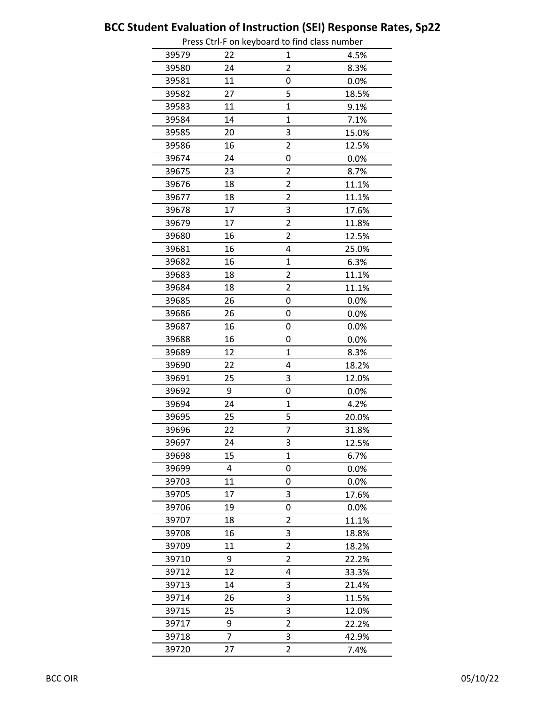|       |    | Press Ctri-F on Reyboard to find class number |       |
|-------|----|-----------------------------------------------|-------|
| 39579 | 22 | 1                                             | 4.5%  |
| 39580 | 24 | 2                                             | 8.3%  |
| 39581 | 11 | 0                                             | 0.0%  |
| 39582 | 27 | 5                                             | 18.5% |
| 39583 | 11 | $\overline{1}$                                | 9.1%  |
| 39584 | 14 | $\overline{1}$                                | 7.1%  |
| 39585 | 20 | 3                                             | 15.0% |
| 39586 | 16 | $\overline{2}$                                | 12.5% |
| 39674 | 24 | 0                                             | 0.0%  |
| 39675 | 23 | $\overline{2}$                                | 8.7%  |
| 39676 | 18 | 2                                             | 11.1% |
| 39677 | 18 | 2                                             | 11.1% |
| 39678 | 17 | 3                                             | 17.6% |
| 39679 | 17 | $\overline{\mathbf{c}}$                       | 11.8% |
| 39680 | 16 | 2                                             | 12.5% |
| 39681 | 16 | 4                                             | 25.0% |
| 39682 | 16 | 1                                             | 6.3%  |
| 39683 | 18 | $\overline{2}$                                | 11.1% |
| 39684 | 18 | 2                                             | 11.1% |
| 39685 | 26 | 0                                             | 0.0%  |
| 39686 | 26 | 0                                             | 0.0%  |
| 39687 | 16 | 0                                             | 0.0%  |
| 39688 | 16 | 0                                             | 0.0%  |
| 39689 | 12 | $\overline{1}$                                | 8.3%  |
| 39690 | 22 | 4                                             | 18.2% |
| 39691 | 25 | 3                                             | 12.0% |
| 39692 | 9  | 0                                             | 0.0%  |
| 39694 | 24 | $\mathbf 1$                                   | 4.2%  |
| 39695 | 25 | 5                                             | 20.0% |
| 39696 | 22 | 7                                             | 31.8% |
| 39697 | 24 | 3                                             | 12.5% |
| 39698 | 15 | 1                                             | 6.7%  |
| 39699 | 4  | 0                                             | 0.0%  |
| 39703 | 11 | 0                                             | 0.0%  |
| 39705 | 17 | 3                                             | 17.6% |
| 39706 | 19 | 0                                             | 0.0%  |
| 39707 | 18 | $\overline{2}$                                | 11.1% |
|       | 16 | 3                                             |       |
| 39708 | 11 | $\overline{2}$                                | 18.8% |
| 39709 | 9  | 2                                             | 18.2% |
| 39710 |    |                                               | 22.2% |
| 39712 | 12 | 4                                             | 33.3% |
| 39713 | 14 | 3                                             | 21.4% |
| 39714 | 26 | 3                                             | 11.5% |
| 39715 | 25 | 3                                             | 12.0% |
| 39717 | 9  | $\overline{c}$                                | 22.2% |
| 39718 | 7  | 3                                             | 42.9% |
| 39720 | 27 | 2                                             | 7.4%  |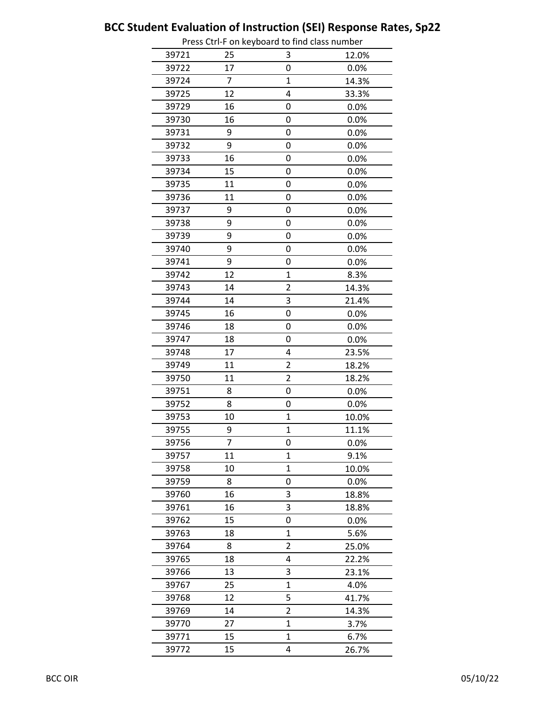|       |    | Press Ctri-F on keyboard to find class number |         |
|-------|----|-----------------------------------------------|---------|
| 39721 | 25 | 3                                             | 12.0%   |
| 39722 | 17 | 0                                             | 0.0%    |
| 39724 | 7  | $\mathbf{1}$                                  | 14.3%   |
| 39725 | 12 | 4                                             | 33.3%   |
| 39729 | 16 | 0                                             | 0.0%    |
| 39730 | 16 | 0                                             | 0.0%    |
| 39731 | 9  | 0                                             | 0.0%    |
| 39732 | 9  | 0                                             | 0.0%    |
| 39733 | 16 | 0                                             | 0.0%    |
| 39734 | 15 | 0                                             | 0.0%    |
| 39735 | 11 | 0                                             | 0.0%    |
| 39736 | 11 | 0                                             | 0.0%    |
| 39737 | 9  | 0                                             | 0.0%    |
| 39738 | 9  | 0                                             | 0.0%    |
| 39739 | 9  | 0                                             | 0.0%    |
| 39740 | 9  | 0                                             | 0.0%    |
| 39741 | 9  | 0                                             | 0.0%    |
| 39742 | 12 | $\mathbf{1}$                                  | 8.3%    |
| 39743 | 14 | $\overline{c}$                                | 14.3%   |
| 39744 | 14 | 3                                             | 21.4%   |
| 39745 | 16 | 0                                             | 0.0%    |
| 39746 | 18 | 0                                             | 0.0%    |
| 39747 | 18 | 0                                             | 0.0%    |
| 39748 | 17 | 4                                             | 23.5%   |
| 39749 | 11 | $\overline{2}$                                | 18.2%   |
| 39750 | 11 | $\overline{\mathbf{c}}$                       | 18.2%   |
| 39751 | 8  | 0                                             | 0.0%    |
| 39752 | 8  | 0                                             | 0.0%    |
| 39753 | 10 | $\mathbf{1}$                                  | 10.0%   |
| 39755 | 9  | $\mathbf{1}$                                  | 11.1%   |
| 39756 | I  | U                                             | $0.0\%$ |
| 39757 | 11 | $\mathbf{1}$                                  | 9.1%    |
| 39758 | 10 | $\mathbf 1$                                   | 10.0%   |
| 39759 | 8  | 0                                             | 0.0%    |
| 39760 | 16 | 3                                             | 18.8%   |
| 39761 | 16 | 3                                             | 18.8%   |
| 39762 | 15 | 0                                             | 0.0%    |
| 39763 | 18 | 1                                             | 5.6%    |
| 39764 | 8  | $\overline{2}$                                | 25.0%   |
| 39765 | 18 | 4                                             | 22.2%   |
| 39766 | 13 | 3                                             | 23.1%   |
| 39767 | 25 | $\mathbf{1}$                                  | 4.0%    |
| 39768 | 12 | 5                                             | 41.7%   |
| 39769 | 14 | $\overline{2}$                                | 14.3%   |
| 39770 | 27 | $\mathbf{1}$                                  | 3.7%    |
| 39771 | 15 | $\mathbf{1}$                                  | 6.7%    |
| 39772 | 15 | 4                                             | 26.7%   |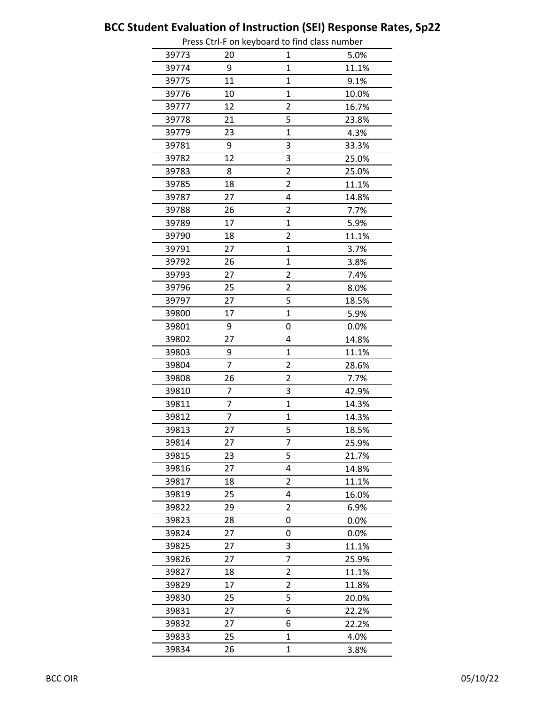|       |                | Press Ctri-F on Reyboard to find class number |       |
|-------|----------------|-----------------------------------------------|-------|
| 39773 | 20             | 1                                             | 5.0%  |
| 39774 | 9              | $\overline{1}$                                | 11.1% |
| 39775 | 11             | $\overline{1}$                                | 9.1%  |
| 39776 | 10             | 1                                             | 10.0% |
| 39777 | 12             | 2                                             | 16.7% |
| 39778 | 21             | 5                                             | 23.8% |
| 39779 | 23             | $\mathbf{1}$                                  | 4.3%  |
| 39781 | 9              | 3                                             | 33.3% |
| 39782 | 12             | 3                                             | 25.0% |
| 39783 | 8              | $\overline{2}$                                | 25.0% |
| 39785 | 18             | $\overline{2}$                                | 11.1% |
| 39787 | 27             | 4                                             | 14.8% |
| 39788 | 26             | $\overline{2}$                                | 7.7%  |
| 39789 | 17             | $\mathbf 1$                                   | 5.9%  |
| 39790 | 18             | 2                                             | 11.1% |
| 39791 | 27             | $\overline{1}$                                | 3.7%  |
| 39792 | 26             | 1                                             | 3.8%  |
| 39793 | 27             | $\overline{2}$                                | 7.4%  |
| 39796 | 25             | 2                                             | 8.0%  |
| 39797 | 27             | 5                                             | 18.5% |
| 39800 | 17             | $\overline{1}$                                | 5.9%  |
| 39801 | 9              | 0                                             | 0.0%  |
| 39802 | 27             | 4                                             | 14.8% |
| 39803 | 9              | $\overline{1}$                                | 11.1% |
| 39804 | $\overline{7}$ | $\overline{2}$                                | 28.6% |
| 39808 | 26             | 2                                             | 7.7%  |
| 39810 | 7              | 3                                             | 42.9% |
| 39811 | 7              | $\mathbf 1$                                   | 14.3% |
| 39812 | 7              | $\overline{1}$                                | 14.3% |
| 39813 | 27             | 5                                             | 18.5% |
| 39814 | 27             | I                                             | 25.9% |
| 39815 | 23             | 5                                             | 21.7% |
| 39816 | 27             | 4                                             | 14.8% |
| 39817 | 18             | 2                                             | 11.1% |
| 39819 | 25             | 4                                             | 16.0% |
| 39822 | 29             | 2                                             | 6.9%  |
| 39823 | 28             | 0                                             | 0.0%  |
| 39824 | 27             | 0                                             | 0.0%  |
| 39825 | 27             | 3                                             | 11.1% |
| 39826 | 27             | 7                                             | 25.9% |
| 39827 | 18             | $\overline{2}$                                | 11.1% |
| 39829 | 17             | 2                                             | 11.8% |
| 39830 | 25             | 5                                             | 20.0% |
| 39831 | 27             | 6                                             | 22.2% |
| 39832 | 27             | 6                                             | 22.2% |
| 39833 | 25             | $\mathbf{1}$                                  | 4.0%  |
| 39834 | 26             | $\mathbf{1}$                                  | 3.8%  |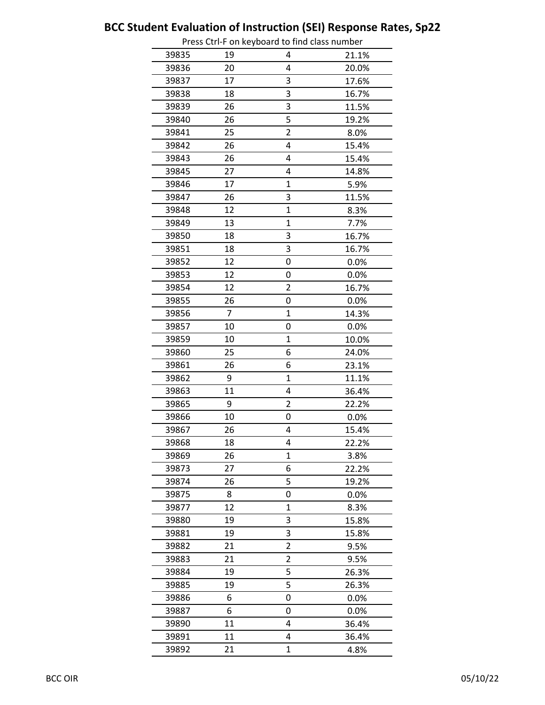|       |    | Press Cu i-F On Reyboard to mid class number |       |
|-------|----|----------------------------------------------|-------|
| 39835 | 19 | 4                                            | 21.1% |
| 39836 | 20 | 4                                            | 20.0% |
| 39837 | 17 | 3                                            | 17.6% |
| 39838 | 18 | 3                                            | 16.7% |
| 39839 | 26 | 3                                            | 11.5% |
| 39840 | 26 | 5                                            | 19.2% |
| 39841 | 25 | $\overline{2}$                               | 8.0%  |
| 39842 | 26 | 4                                            | 15.4% |
| 39843 | 26 | 4                                            | 15.4% |
| 39845 | 27 | 4                                            | 14.8% |
| 39846 | 17 | $\mathbf{1}$                                 | 5.9%  |
| 39847 | 26 | 3                                            | 11.5% |
| 39848 | 12 | 1                                            | 8.3%  |
| 39849 | 13 | 1                                            | 7.7%  |
| 39850 | 18 | 3                                            | 16.7% |
| 39851 | 18 | 3                                            | 16.7% |
| 39852 | 12 | 0                                            | 0.0%  |
| 39853 | 12 | 0                                            | 0.0%  |
| 39854 | 12 | 2                                            | 16.7% |
| 39855 | 26 | 0                                            | 0.0%  |
| 39856 | 7  | 1                                            | 14.3% |
| 39857 | 10 | 0                                            | 0.0%  |
| 39859 | 10 | $\overline{1}$                               | 10.0% |
| 39860 | 25 | 6                                            | 24.0% |
| 39861 | 26 | 6                                            | 23.1% |
| 39862 | 9  | 1                                            | 11.1% |
| 39863 | 11 | 4                                            | 36.4% |
| 39865 | 9  | $\overline{2}$                               | 22.2% |
| 39866 | 10 | 0                                            | 0.0%  |
| 39867 | 26 | 4                                            | 15.4% |
| 39868 | 18 | 4                                            | 22.2% |
| 39869 | 26 | 1                                            | 3.8%  |
| 39873 | 27 | 6                                            | 22.2% |
| 39874 | 26 | 5                                            | 19.2% |
| 39875 | 8  | 0                                            | 0.0%  |
| 39877 | 12 | $\mathbf 1$                                  | 8.3%  |
| 39880 | 19 | 3                                            | 15.8% |
| 39881 | 19 | 3                                            | 15.8% |
| 39882 | 21 | $\overline{2}$                               | 9.5%  |
| 39883 | 21 | $\overline{2}$                               | 9.5%  |
| 39884 | 19 | 5                                            | 26.3% |
| 39885 | 19 | 5                                            | 26.3% |
| 39886 | 6  | 0                                            | 0.0%  |
| 39887 | 6  | 0                                            | 0.0%  |
| 39890 | 11 | 4                                            | 36.4% |
| 39891 | 11 | 4                                            | 36.4% |
| 39892 | 21 | $\mathbf{1}$                                 | 4.8%  |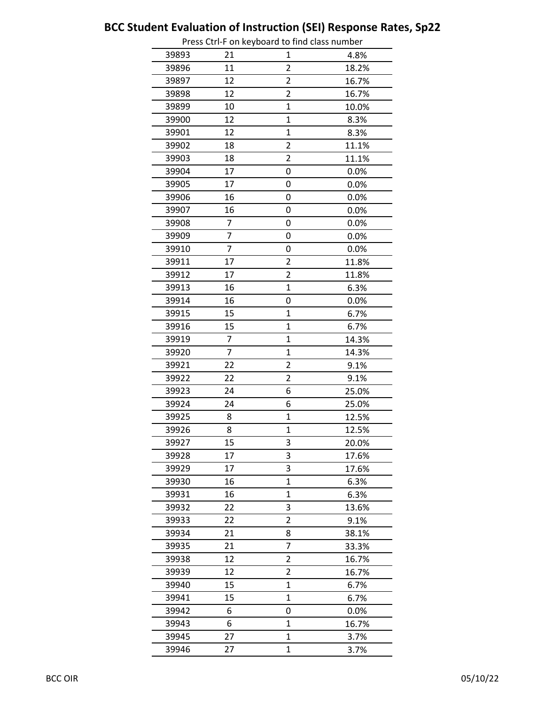|       |                | Press Ctri-F on Reyboard to find class number |       |
|-------|----------------|-----------------------------------------------|-------|
| 39893 | 21             | 1                                             | 4.8%  |
| 39896 | 11             | $\overline{2}$                                | 18.2% |
| 39897 | 12             | $\overline{2}$                                | 16.7% |
| 39898 | 12             | $\overline{c}$                                | 16.7% |
| 39899 | 10             | $\mathbf 1$                                   | 10.0% |
| 39900 | 12             | $\overline{1}$                                | 8.3%  |
| 39901 | 12             | $\mathbf{1}$                                  | 8.3%  |
| 39902 | 18             | $\overline{2}$                                | 11.1% |
| 39903 | 18             | 2                                             | 11.1% |
| 39904 | 17             | 0                                             | 0.0%  |
| 39905 | 17             | 0                                             | 0.0%  |
| 39906 | 16             | 0                                             | 0.0%  |
| 39907 | 16             | 0                                             | 0.0%  |
| 39908 | 7              | 0                                             | 0.0%  |
| 39909 | 7              | 0                                             | 0.0%  |
| 39910 | 7              | 0                                             | 0.0%  |
| 39911 | 17             | 2                                             | 11.8% |
| 39912 | 17             | $\overline{2}$                                | 11.8% |
| 39913 | 16             | $\overline{1}$                                | 6.3%  |
| 39914 | 16             | 0                                             | 0.0%  |
| 39915 | 15             | $\overline{1}$                                | 6.7%  |
| 39916 | 15             | 1                                             | 6.7%  |
| 39919 | 7              | 1                                             | 14.3% |
| 39920 | $\overline{7}$ | $\mathbf 1$                                   | 14.3% |
| 39921 | 22             | $\overline{2}$                                | 9.1%  |
| 39922 | 22             | $\overline{2}$                                | 9.1%  |
| 39923 | 24             | 6                                             | 25.0% |
| 39924 | 24             | 6                                             | 25.0% |
| 39925 | 8              | $\mathbf 1$                                   | 12.5% |
| 39926 | 8              | $\mathbf 1$                                   | 12.5% |
| 39927 | 15             | 3                                             | 20.0% |
| 39928 | 17             | 3                                             | 17.6% |
| 39929 | 17             | 3                                             | 17.6% |
| 39930 | 16             | $\mathbf{1}$                                  | 6.3%  |
| 39931 | 16             | 1                                             | 6.3%  |
| 39932 | 22             | 3                                             | 13.6% |
| 39933 | 22             | $\overline{2}$                                | 9.1%  |
| 39934 | 21             | 8                                             | 38.1% |
| 39935 | 21             | 7                                             | 33.3% |
| 39938 | 12             | 2                                             | 16.7% |
| 39939 | 12             | 2                                             | 16.7% |
| 39940 | 15             | $\mathbf{1}$                                  | 6.7%  |
| 39941 | 15             | $\mathbf 1$                                   | 6.7%  |
| 39942 | 6              | 0                                             | 0.0%  |
| 39943 | 6              | $\mathbf{1}$                                  | 16.7% |
| 39945 | 27             | $\mathbf 1$                                   | 3.7%  |
| 39946 | 27             | $\mathbf{1}$                                  | 3.7%  |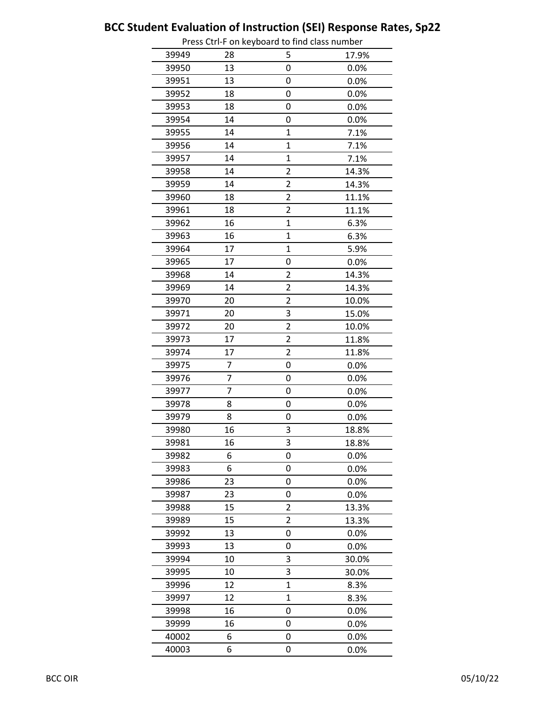|       |                | Press Cur-Flori Reyboard to find class humber |       |
|-------|----------------|-----------------------------------------------|-------|
| 39949 | 28             | 5                                             | 17.9% |
| 39950 | 13             | 0                                             | 0.0%  |
| 39951 | 13             | 0                                             | 0.0%  |
| 39952 | 18             | 0                                             | 0.0%  |
| 39953 | 18             | 0                                             | 0.0%  |
| 39954 | 14             | 0                                             | 0.0%  |
| 39955 | 14             | $\mathbf{1}$                                  | 7.1%  |
| 39956 | 14             | $\overline{1}$                                | 7.1%  |
| 39957 | 14             | $\overline{1}$                                | 7.1%  |
| 39958 | 14             | $\overline{c}$                                | 14.3% |
| 39959 | 14             | $\overline{2}$                                | 14.3% |
| 39960 | 18             | $\overline{\mathbf{c}}$                       | 11.1% |
| 39961 | 18             | $\overline{2}$                                | 11.1% |
| 39962 | 16             | $\overline{1}$                                | 6.3%  |
| 39963 | 16             | $\overline{1}$                                | 6.3%  |
| 39964 | 17             | $\overline{1}$                                | 5.9%  |
| 39965 | 17             | 0                                             | 0.0%  |
| 39968 | 14             | $\overline{2}$                                | 14.3% |
| 39969 | 14             | 2                                             | 14.3% |
| 39970 | 20             | 2                                             | 10.0% |
| 39971 | 20             | 3                                             | 15.0% |
| 39972 | 20             | 2                                             | 10.0% |
| 39973 | 17             | $\overline{2}$                                | 11.8% |
| 39974 | 17             | $\overline{2}$                                | 11.8% |
| 39975 | 7              | 0                                             | 0.0%  |
| 39976 | 7              | 0                                             | 0.0%  |
| 39977 | $\overline{7}$ | 0                                             | 0.0%  |
| 39978 | 8              | 0                                             | 0.0%  |
| 39979 | 8              | 0                                             | 0.0%  |
| 39980 | 16             | 3                                             | 18.8% |
| 39981 | 16             | 3                                             | 18.8% |
| 39982 | 6              | 0                                             | 0.0%  |
| 39983 | 6              | 0                                             | 0.0%  |
| 39986 | 23             | 0                                             | 0.0%  |
| 39987 | 23             | 0                                             | 0.0%  |
| 39988 | 15             | 2                                             | 13.3% |
| 39989 | 15             | $\overline{\mathbf{c}}$                       | 13.3% |
| 39992 | 13             | 0                                             | 0.0%  |
| 39993 | 13             | 0                                             | 0.0%  |
| 39994 | 10             | 3                                             | 30.0% |
| 39995 | 10             | 3                                             | 30.0% |
| 39996 | 12             | $\overline{1}$                                | 8.3%  |
| 39997 | 12             | $\mathbf 1$                                   | 8.3%  |
| 39998 | 16             | 0                                             | 0.0%  |
| 39999 | 16             | 0                                             | 0.0%  |
| 40002 | 6              | 0                                             | 0.0%  |
| 40003 | 6              | 0                                             | 0.0%  |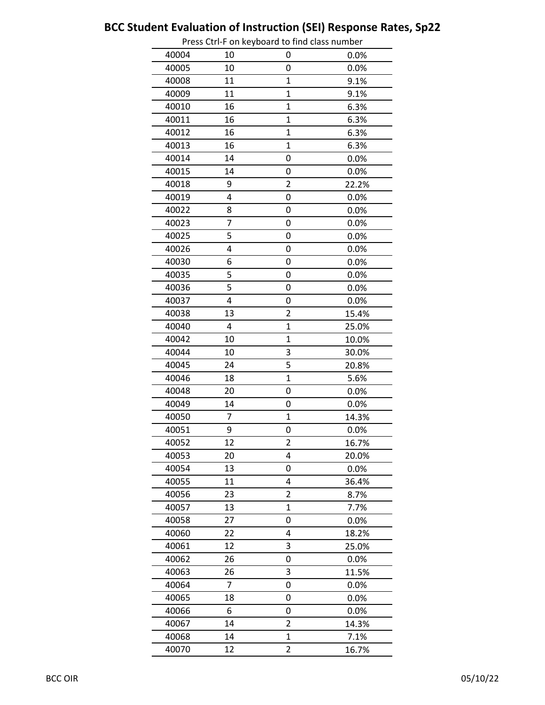|       |    | Press Curri on Reyboard to mid class number |       |
|-------|----|---------------------------------------------|-------|
| 40004 | 10 | 0                                           | 0.0%  |
| 40005 | 10 | 0                                           | 0.0%  |
| 40008 | 11 | $\mathbf{1}$                                | 9.1%  |
| 40009 | 11 | $\mathbf{1}$                                | 9.1%  |
| 40010 | 16 | $\mathbf{1}$                                | 6.3%  |
| 40011 | 16 | $\overline{1}$                              | 6.3%  |
| 40012 | 16 | $\mathbf{1}$                                | 6.3%  |
| 40013 | 16 | $\overline{1}$                              | 6.3%  |
| 40014 | 14 | 0                                           | 0.0%  |
| 40015 | 14 | 0                                           | 0.0%  |
| 40018 | 9  | $\overline{2}$                              | 22.2% |
| 40019 | 4  | 0                                           | 0.0%  |
| 40022 | 8  | 0                                           | 0.0%  |
| 40023 | 7  | 0                                           | 0.0%  |
| 40025 | 5  | 0                                           | 0.0%  |
| 40026 | 4  | 0                                           | 0.0%  |
| 40030 | 6  | 0                                           | 0.0%  |
| 40035 | 5  | 0                                           | 0.0%  |
| 40036 | 5  | 0                                           | 0.0%  |
| 40037 | 4  | 0                                           | 0.0%  |
| 40038 | 13 | $\overline{2}$                              | 15.4% |
| 40040 | 4  | $\mathbf{1}$                                | 25.0% |
| 40042 | 10 | $\overline{1}$                              | 10.0% |
| 40044 | 10 | 3                                           | 30.0% |
| 40045 | 24 | 5                                           | 20.8% |
| 40046 | 18 | $\overline{1}$                              | 5.6%  |
| 40048 | 20 | 0                                           | 0.0%  |
| 40049 | 14 | 0                                           | 0.0%  |
| 40050 | 7  | $\mathbf{1}$                                | 14.3% |
| 40051 | 9  | 0                                           | 0.0%  |
| 40052 | 12 | $\overline{\mathbf{c}}$                     | 16.7% |
| 40053 | 20 | 4                                           | 20.0% |
| 40054 | 13 | 0                                           | 0.0%  |
| 40055 | 11 | 4                                           | 36.4% |
| 40056 | 23 | $\overline{2}$                              | 8.7%  |
| 40057 | 13 | $\mathbf{1}$                                | 7.7%  |
| 40058 | 27 | 0                                           | 0.0%  |
| 40060 | 22 | 4                                           | 18.2% |
| 40061 | 12 | 3                                           | 25.0% |
| 40062 | 26 | 0                                           | 0.0%  |
| 40063 | 26 | 3                                           | 11.5% |
| 40064 | 7  | 0                                           | 0.0%  |
| 40065 | 18 | 0                                           | 0.0%  |
| 40066 | 6  | 0                                           | 0.0%  |
| 40067 | 14 | 2                                           | 14.3% |
| 40068 | 14 | $\mathbf{1}$                                | 7.1%  |
| 40070 | 12 | $\overline{2}$                              | 16.7% |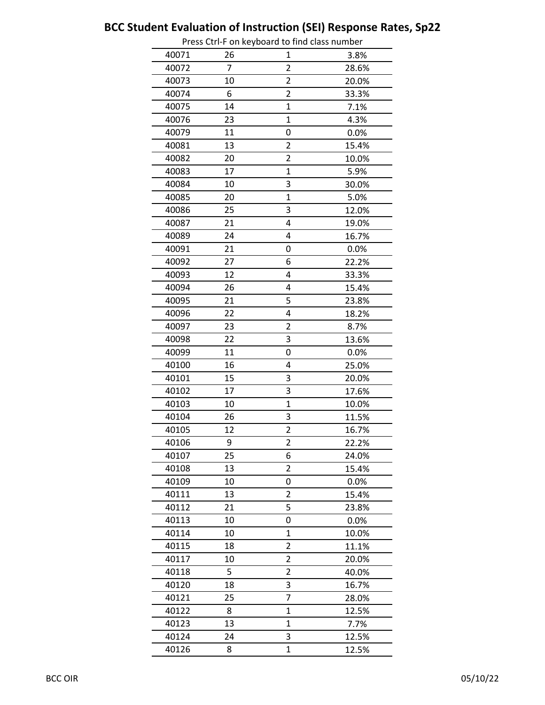|       |                | Press Ctri-F on Reyboard to find class number |       |
|-------|----------------|-----------------------------------------------|-------|
| 40071 | 26             | 1                                             | 3.8%  |
| 40072 | $\overline{7}$ | $\overline{2}$                                | 28.6% |
| 40073 | 10             | 2                                             | 20.0% |
| 40074 | 6              | $\overline{2}$                                | 33.3% |
| 40075 | 14             | $\overline{1}$                                | 7.1%  |
| 40076 | 23             | $\mathbf{1}$                                  | 4.3%  |
| 40079 | 11             | 0                                             | 0.0%  |
| 40081 | 13             | 2                                             | 15.4% |
| 40082 | 20             | 2                                             | 10.0% |
| 40083 | 17             | $\overline{1}$                                | 5.9%  |
| 40084 | 10             | 3                                             | 30.0% |
| 40085 | 20             | $\overline{1}$                                | 5.0%  |
| 40086 | 25             | 3                                             | 12.0% |
| 40087 | 21             | 4                                             | 19.0% |
| 40089 | 24             | 4                                             | 16.7% |
| 40091 | 21             | 0                                             | 0.0%  |
| 40092 | 27             | 6                                             | 22.2% |
| 40093 | 12             | 4                                             | 33.3% |
| 40094 | 26             | 4                                             | 15.4% |
| 40095 | 21             | 5                                             | 23.8% |
| 40096 | 22             | 4                                             | 18.2% |
| 40097 | 23             | 2                                             | 8.7%  |
| 40098 | 22             | 3                                             | 13.6% |
| 40099 | 11             | 0                                             | 0.0%  |
| 40100 | 16             | 4                                             | 25.0% |
| 40101 | 15             | 3                                             | 20.0% |
| 40102 | 17             | 3                                             | 17.6% |
| 40103 | 10             | $\mathbf 1$                                   | 10.0% |
| 40104 | 26             | 3                                             | 11.5% |
| 40105 | 12             | $\overline{c}$                                | 16.7% |
| 40106 | 9              | 2                                             | 22.2% |
| 40107 | 25             | 6                                             | 24.0% |
| 40108 | 13             | 2                                             | 15.4% |
| 40109 | 10             | 0                                             | 0.0%  |
| 40111 | 13             | $\overline{2}$                                | 15.4% |
| 40112 | 21             | 5                                             | 23.8% |
| 40113 | 10             | 0                                             | 0.0%  |
| 40114 | 10             | $\mathbf 1$                                   | 10.0% |
| 40115 | 18             | $\overline{2}$                                | 11.1% |
| 40117 | 10             | 2                                             | 20.0% |
| 40118 | 5              | $\overline{2}$                                | 40.0% |
| 40120 | 18             | 3                                             | 16.7% |
| 40121 | 25             | 7                                             | 28.0% |
| 40122 | 8              | $\mathbf{1}$                                  | 12.5% |
| 40123 | 13             | $\mathbf 1$                                   | 7.7%  |
| 40124 | 24             | 3                                             | 12.5% |
| 40126 | 8              | 1                                             | 12.5% |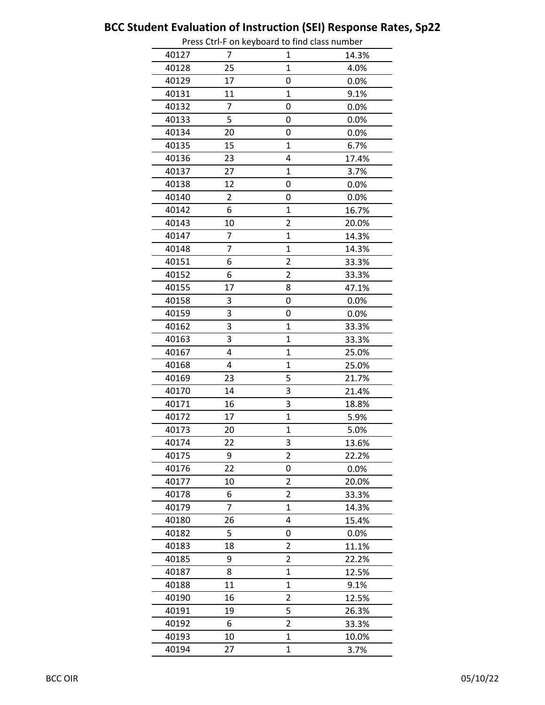|       |    | Press Cur-Flori Reyboard to find class humber |       |
|-------|----|-----------------------------------------------|-------|
| 40127 | 7  | 1                                             | 14.3% |
| 40128 | 25 | 1                                             | 4.0%  |
| 40129 | 17 | 0                                             | 0.0%  |
| 40131 | 11 | $\mathbf{1}$                                  | 9.1%  |
| 40132 | 7  | 0                                             | 0.0%  |
| 40133 | 5  | 0                                             | 0.0%  |
| 40134 | 20 | 0                                             | 0.0%  |
| 40135 | 15 | 1                                             | 6.7%  |
| 40136 | 23 | 4                                             | 17.4% |
| 40137 | 27 | 1                                             | 3.7%  |
| 40138 | 12 | 0                                             | 0.0%  |
| 40140 | 2  | 0                                             | 0.0%  |
| 40142 | 6  | $\overline{1}$                                | 16.7% |
| 40143 | 10 | $\overline{c}$                                | 20.0% |
| 40147 | 7  | 1                                             | 14.3% |
| 40148 | 7  | 1                                             | 14.3% |
| 40151 | 6  | 2                                             | 33.3% |
| 40152 | 6  | $\overline{2}$                                | 33.3% |
| 40155 | 17 | 8                                             | 47.1% |
| 40158 | 3  | 0                                             | 0.0%  |
| 40159 | 3  | 0                                             | 0.0%  |
| 40162 | 3  | 1                                             | 33.3% |
| 40163 | 3  | 1                                             | 33.3% |
| 40167 | 4  | $\mathbf 1$                                   | 25.0% |
| 40168 | 4  | $\overline{1}$                                | 25.0% |
| 40169 | 23 | 5                                             | 21.7% |
| 40170 | 14 | 3                                             | 21.4% |
| 40171 | 16 | 3                                             | 18.8% |
| 40172 | 17 | $\overline{1}$                                | 5.9%  |
| 40173 | 20 | $\overline{1}$                                | 5.0%  |
| 40174 | 22 | 3                                             | 13.6% |
| 40175 | 9  | $\overline{2}$                                | 22.2% |
| 40176 | 22 | 0                                             | 0.0%  |
| 40177 | 10 | 2                                             | 20.0% |
| 40178 | 6  | $\overline{2}$                                | 33.3% |
| 40179 | 7  | $\mathbf 1$                                   | 14.3% |
| 40180 | 26 | 4                                             | 15.4% |
| 40182 | 5  | 0                                             | 0.0%  |
| 40183 | 18 | 2                                             | 11.1% |
| 40185 | 9  | $\overline{c}$                                | 22.2% |
| 40187 | 8  | $\overline{1}$                                | 12.5% |
| 40188 | 11 | 1                                             | 9.1%  |
| 40190 | 16 | $\overline{2}$                                | 12.5% |
| 40191 | 19 | 5                                             | 26.3% |
| 40192 | 6  | $\overline{\mathbf{c}}$                       | 33.3% |
| 40193 | 10 | $\overline{1}$                                | 10.0% |
| 40194 | 27 | $\overline{1}$                                | 3.7%  |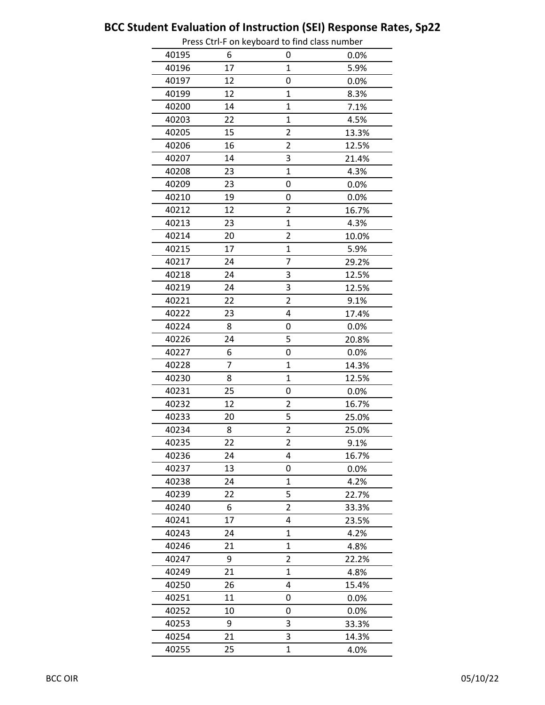|       |    | Press Curri on Reyboard to mid class number |       |
|-------|----|---------------------------------------------|-------|
| 40195 | 6  | 0                                           | 0.0%  |
| 40196 | 17 | $\mathbf{1}$                                | 5.9%  |
| 40197 | 12 | 0                                           | 0.0%  |
| 40199 | 12 | $\mathbf{1}$                                | 8.3%  |
| 40200 | 14 | $\mathbf{1}$                                | 7.1%  |
| 40203 | 22 | $\mathbf{1}$                                | 4.5%  |
| 40205 | 15 | $\overline{2}$                              | 13.3% |
| 40206 | 16 | 2                                           | 12.5% |
| 40207 | 14 | 3                                           | 21.4% |
| 40208 | 23 | $\mathbf{1}$                                | 4.3%  |
| 40209 | 23 | 0                                           | 0.0%  |
| 40210 | 19 | 0                                           | 0.0%  |
| 40212 | 12 | $\overline{2}$                              | 16.7% |
| 40213 | 23 | 1                                           | 4.3%  |
| 40214 | 20 | $\overline{c}$                              | 10.0% |
| 40215 | 17 | $\overline{1}$                              | 5.9%  |
| 40217 | 24 | 7                                           | 29.2% |
| 40218 | 24 | 3                                           | 12.5% |
| 40219 | 24 | 3                                           | 12.5% |
| 40221 | 22 | $\overline{2}$                              | 9.1%  |
| 40222 | 23 | 4                                           | 17.4% |
| 40224 | 8  | 0                                           | 0.0%  |
| 40226 | 24 | 5                                           | 20.8% |
| 40227 | 6  | 0                                           | 0.0%  |
| 40228 | 7  | $\mathbf{1}$                                | 14.3% |
| 40230 | 8  | $\mathbf{1}$                                | 12.5% |
| 40231 | 25 | 0                                           | 0.0%  |
| 40232 | 12 | $\overline{2}$                              | 16.7% |
| 40233 | 20 | 5                                           | 25.0% |
| 40234 | 8  | $\overline{c}$                              | 25.0% |
| 40235 | 22 | $\overline{\mathbf{c}}$                     | 9.1%  |
| 40236 | 24 | 4                                           | 16.7% |
| 40237 | 13 | 0                                           | 0.0%  |
| 40238 | 24 | $\mathbf 1$                                 | 4.2%  |
| 40239 | 22 | 5                                           | 22.7% |
| 40240 | 6  | 2                                           | 33.3% |
| 40241 | 17 | 4                                           | 23.5% |
| 40243 | 24 | 1                                           | 4.2%  |
| 40246 | 21 | 1                                           | 4.8%  |
| 40247 | 9  | $\overline{2}$                              | 22.2% |
| 40249 | 21 | $\mathbf{1}$                                | 4.8%  |
| 40250 | 26 | 4                                           | 15.4% |
| 40251 | 11 | 0                                           | 0.0%  |
| 40252 | 10 | 0                                           | 0.0%  |
| 40253 | 9  | 3                                           | 33.3% |
| 40254 | 21 | 3                                           | 14.3% |
| 40255 | 25 | $\mathbf{1}$                                | 4.0%  |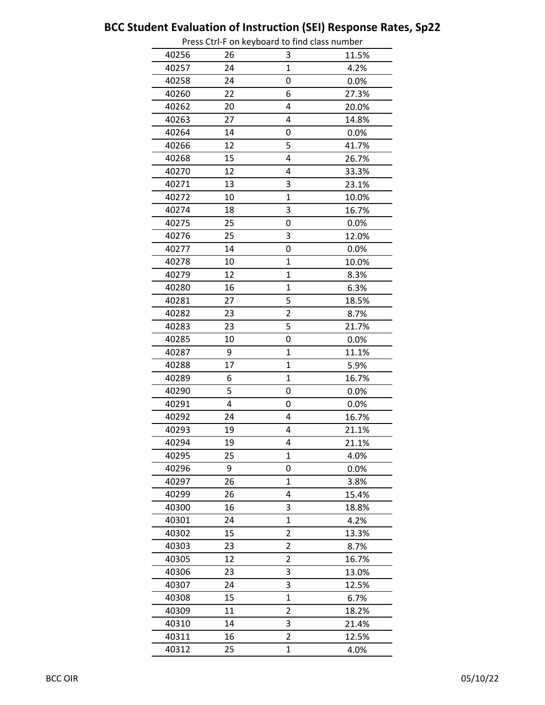|       |    | Press Cur-F on Reyboard to find class humber |       |
|-------|----|----------------------------------------------|-------|
| 40256 | 26 | 3                                            | 11.5% |
| 40257 | 24 | $\overline{1}$                               | 4.2%  |
| 40258 | 24 | 0                                            | 0.0%  |
| 40260 | 22 | 6                                            | 27.3% |
| 40262 | 20 | 4                                            | 20.0% |
| 40263 | 27 | 4                                            | 14.8% |
| 40264 | 14 | 0                                            | 0.0%  |
| 40266 | 12 | 5                                            | 41.7% |
| 40268 | 15 | 4                                            | 26.7% |
| 40270 | 12 | 4                                            | 33.3% |
| 40271 | 13 | 3                                            | 23.1% |
| 40272 | 10 | $\overline{1}$                               | 10.0% |
| 40274 | 18 | 3                                            | 16.7% |
| 40275 | 25 | 0                                            | 0.0%  |
| 40276 | 25 | 3                                            | 12.0% |
| 40277 | 14 | 0                                            | 0.0%  |
| 40278 | 10 | $\mathbf 1$                                  | 10.0% |
| 40279 | 12 | 1                                            | 8.3%  |
| 40280 | 16 | $\overline{1}$                               | 6.3%  |
| 40281 | 27 | 5                                            | 18.5% |
| 40282 | 23 | $\overline{2}$                               | 8.7%  |
| 40283 | 23 | 5                                            | 21.7% |
| 40285 | 10 | 0                                            | 0.0%  |
| 40287 | 9  | $\mathbf{1}$                                 | 11.1% |
| 40288 | 17 | $\overline{1}$                               | 5.9%  |
| 40289 | 6  | $\mathbf{1}$                                 | 16.7% |
| 40290 | 5  | 0                                            | 0.0%  |
| 40291 | 4  | 0                                            | 0.0%  |
| 40292 | 24 | 4                                            | 16.7% |
| 40293 | 19 | 4                                            | 21.1% |
| 40294 | 19 | 4                                            | 21.1% |
| 40295 | 25 | $\mathbf{1}$                                 | 4.0%  |
| 40296 | 9  | 0                                            | 0.0%  |
| 40297 | 26 | 1                                            | 3.8%  |
| 40299 | 26 | 4                                            | 15.4% |
| 40300 | 16 | 3                                            | 18.8% |
| 40301 | 24 | $\overline{1}$                               | 4.2%  |
| 40302 | 15 | 2                                            | 13.3% |
| 40303 | 23 | 2                                            | 8.7%  |
| 40305 | 12 | 2                                            | 16.7% |
| 40306 | 23 | 3                                            | 13.0% |
| 40307 | 24 | 3                                            | 12.5% |
| 40308 | 15 | $\mathbf 1$                                  | 6.7%  |
| 40309 | 11 | $\overline{2}$                               | 18.2% |
| 40310 | 14 | 3                                            | 21.4% |
| 40311 | 16 | $\overline{2}$                               | 12.5% |
| 40312 | 25 | $\overline{1}$                               | 4.0%  |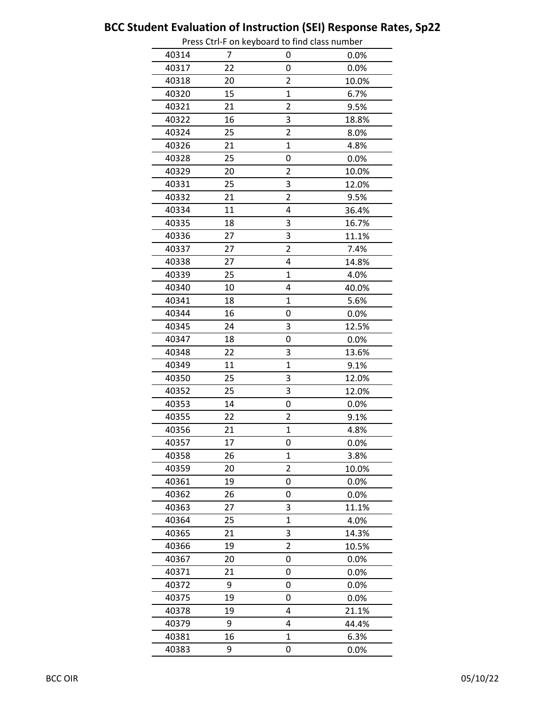|       |    | Press Cu i-F On Reyboard to mid class number |       |
|-------|----|----------------------------------------------|-------|
| 40314 | 7  | 0                                            | 0.0%  |
| 40317 | 22 | 0                                            | 0.0%  |
| 40318 | 20 | 2                                            | 10.0% |
| 40320 | 15 | $\overline{1}$                               | 6.7%  |
| 40321 | 21 | 2                                            | 9.5%  |
| 40322 | 16 | 3                                            | 18.8% |
| 40324 | 25 | $\overline{\mathbf{c}}$                      | 8.0%  |
| 40326 | 21 | 1                                            | 4.8%  |
| 40328 | 25 | 0                                            | 0.0%  |
| 40329 | 20 | 2                                            | 10.0% |
| 40331 | 25 | 3                                            | 12.0% |
| 40332 | 21 | $\overline{2}$                               | 9.5%  |
| 40334 | 11 | 4                                            | 36.4% |
| 40335 | 18 | 3                                            | 16.7% |
| 40336 | 27 | 3                                            | 11.1% |
| 40337 | 27 | $\overline{2}$                               | 7.4%  |
| 40338 | 27 | 4                                            | 14.8% |
| 40339 | 25 | $\mathbf{1}$                                 | 4.0%  |
| 40340 | 10 | 4                                            | 40.0% |
| 40341 | 18 | $\overline{1}$                               | 5.6%  |
| 40344 | 16 | 0                                            | 0.0%  |
| 40345 | 24 | 3                                            | 12.5% |
| 40347 | 18 | 0                                            | 0.0%  |
| 40348 | 22 | 3                                            | 13.6% |
| 40349 | 11 | $\overline{1}$                               | 9.1%  |
| 40350 | 25 | 3                                            | 12.0% |
| 40352 | 25 | 3                                            | 12.0% |
| 40353 | 14 | 0                                            | 0.0%  |
| 40355 | 22 | 2                                            | 9.1%  |
| 40356 | 21 | $\overline{1}$                               | 4.8%  |
| 40357 | 17 | 0                                            | 0.0%  |
| 40358 | 26 | 1                                            | 3.8%  |
| 40359 | 20 | $\overline{2}$                               | 10.0% |
| 40361 | 19 | 0                                            | 0.0%  |
| 40362 | 26 | 0                                            | 0.0%  |
| 40363 | 27 | 3                                            | 11.1% |
| 40364 | 25 | $\mathbf{1}$                                 | 4.0%  |
| 40365 | 21 | 3                                            | 14.3% |
| 40366 | 19 | 2                                            | 10.5% |
| 40367 | 20 | 0                                            | 0.0%  |
| 40371 | 21 | 0                                            | 0.0%  |
| 40372 | 9  | 0                                            | 0.0%  |
| 40375 | 19 | 0                                            | 0.0%  |
| 40378 | 19 | 4                                            | 21.1% |
| 40379 | 9  | 4                                            | 44.4% |
| 40381 | 16 | $\mathbf{1}$                                 | 6.3%  |
| 40383 | 9  | 0                                            | 0.0%  |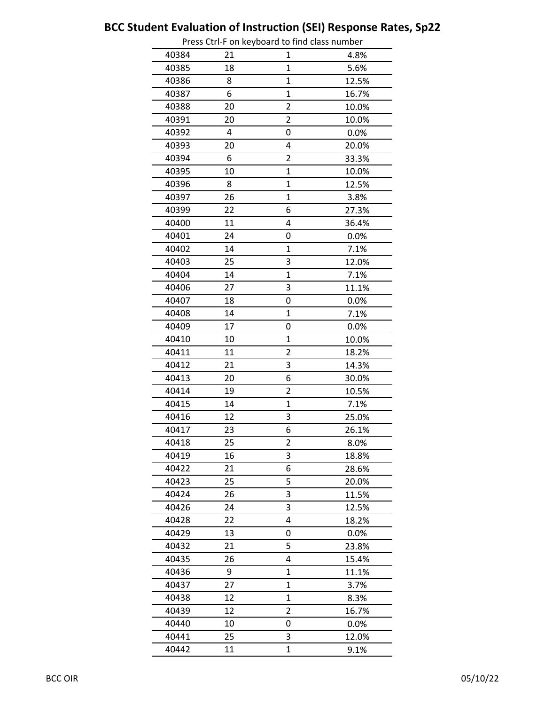|       |    | Press Cur-Flori Reyboard to mid class number |       |
|-------|----|----------------------------------------------|-------|
| 40384 | 21 | 1                                            | 4.8%  |
| 40385 | 18 | 1                                            | 5.6%  |
| 40386 | 8  | $\mathbf{1}$                                 | 12.5% |
| 40387 | 6  | 1                                            | 16.7% |
| 40388 | 20 | 2                                            | 10.0% |
| 40391 | 20 | $\overline{\mathbf{c}}$                      | 10.0% |
| 40392 | 4  | 0                                            | 0.0%  |
| 40393 | 20 | 4                                            | 20.0% |
| 40394 | 6  | 2                                            | 33.3% |
| 40395 | 10 | $\overline{1}$                               | 10.0% |
| 40396 | 8  | $\overline{1}$                               | 12.5% |
| 40397 | 26 | $\mathbf 1$                                  | 3.8%  |
| 40399 | 22 | 6                                            | 27.3% |
| 40400 | 11 | 4                                            | 36.4% |
| 40401 | 24 | 0                                            | 0.0%  |
| 40402 | 14 | 1                                            | 7.1%  |
| 40403 | 25 | 3                                            | 12.0% |
| 40404 | 14 | 1                                            | 7.1%  |
| 40406 | 27 | 3                                            | 11.1% |
| 40407 | 18 | 0                                            | 0.0%  |
| 40408 | 14 | 1                                            | 7.1%  |
| 40409 | 17 | 0                                            | 0.0%  |
| 40410 | 10 | $\overline{1}$                               | 10.0% |
| 40411 | 11 | 2                                            | 18.2% |
| 40412 | 21 | 3                                            | 14.3% |
| 40413 | 20 | 6                                            | 30.0% |
| 40414 | 19 | $\overline{2}$                               | 10.5% |
| 40415 | 14 | 1                                            | 7.1%  |
| 40416 | 12 | 3                                            | 25.0% |
| 40417 | 23 | 6                                            | 26.1% |
| 40418 | 25 | $\overline{\mathbf{c}}$                      | 8.0%  |
| 40419 | 16 | 3                                            | 18.8% |
| 40422 | 21 | 6                                            | 28.6% |
| 40423 | 25 | 5                                            | 20.0% |
| 40424 | 26 | 3                                            | 11.5% |
| 40426 | 24 | 3                                            | 12.5% |
| 40428 | 22 | 4                                            | 18.2% |
| 40429 | 13 | 0                                            | 0.0%  |
| 40432 | 21 | 5                                            | 23.8% |
| 40435 | 26 | 4                                            | 15.4% |
| 40436 | 9  | 1                                            | 11.1% |
| 40437 | 27 | 1                                            | 3.7%  |
| 40438 | 12 | 1                                            | 8.3%  |
| 40439 | 12 | $\overline{2}$                               | 16.7% |
| 40440 | 10 | 0                                            | 0.0%  |
| 40441 | 25 | 3                                            | 12.0% |
| 40442 | 11 | $\overline{1}$                               | 9.1%  |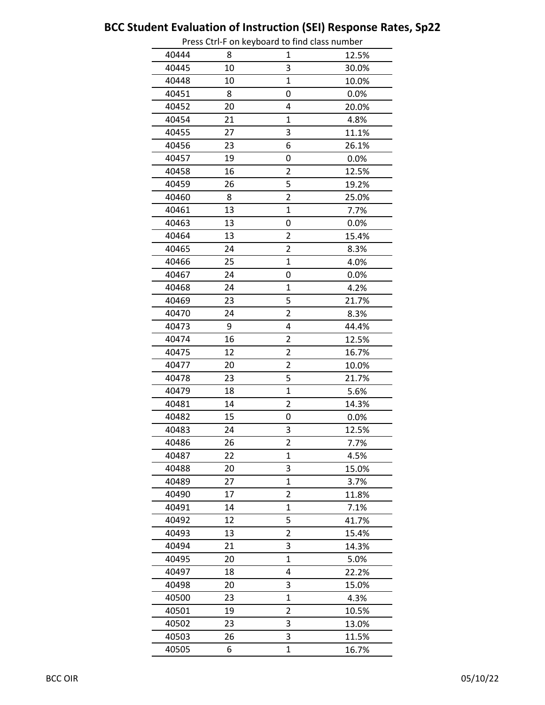|       |    | Press Cur-F on Reyboard to find class humber |       |
|-------|----|----------------------------------------------|-------|
| 40444 | 8  | 1                                            | 12.5% |
| 40445 | 10 | 3                                            | 30.0% |
| 40448 | 10 | 1                                            | 10.0% |
| 40451 | 8  | 0                                            | 0.0%  |
| 40452 | 20 | 4                                            | 20.0% |
| 40454 | 21 | 1                                            | 4.8%  |
| 40455 | 27 | 3                                            | 11.1% |
| 40456 | 23 | 6                                            | 26.1% |
| 40457 | 19 | 0                                            | 0.0%  |
| 40458 | 16 | 2                                            | 12.5% |
| 40459 | 26 | 5                                            | 19.2% |
| 40460 | 8  | 2                                            | 25.0% |
| 40461 | 13 | $\mathbf{1}$                                 | 7.7%  |
| 40463 | 13 | 0                                            | 0.0%  |
| 40464 | 13 | 2                                            | 15.4% |
| 40465 | 24 | $\overline{2}$                               | 8.3%  |
| 40466 | 25 | $\mathbf 1$                                  | 4.0%  |
| 40467 | 24 | 0                                            | 0.0%  |
| 40468 | 24 | $\overline{1}$                               | 4.2%  |
| 40469 | 23 | 5                                            | 21.7% |
| 40470 | 24 | $\overline{2}$                               | 8.3%  |
| 40473 | 9  | 4                                            | 44.4% |
| 40474 | 16 | 2                                            | 12.5% |
| 40475 | 12 | 2                                            | 16.7% |
| 40477 | 20 | $\overline{2}$                               | 10.0% |
| 40478 | 23 | 5                                            | 21.7% |
| 40479 | 18 | $\overline{1}$                               | 5.6%  |
| 40481 | 14 | 2                                            | 14.3% |
| 40482 | 15 | 0                                            | 0.0%  |
| 40483 | 24 | 3                                            | 12.5% |
| 40486 | 26 | $\overline{\mathbf{c}}$                      | 7.7%  |
| 40487 | 22 | $\mathbf{1}$                                 | 4.5%  |
| 40488 | 20 | 3                                            | 15.0% |
| 40489 | 27 | 1                                            | 3.7%  |
| 40490 | 17 | $\overline{2}$                               | 11.8% |
| 40491 | 14 | 1                                            | 7.1%  |
| 40492 | 12 | 5                                            | 41.7% |
| 40493 | 13 | 2                                            | 15.4% |
| 40494 | 21 | 3                                            | 14.3% |
| 40495 | 20 | 1                                            | 5.0%  |
| 40497 | 18 | 4                                            | 22.2% |
| 40498 | 20 | 3                                            | 15.0% |
| 40500 | 23 | 1                                            | 4.3%  |
| 40501 | 19 | $\overline{2}$                               | 10.5% |
| 40502 | 23 | 3                                            | 13.0% |
| 40503 | 26 | 3                                            | 11.5% |
| 40505 | 6  | $\overline{1}$                               | 16.7% |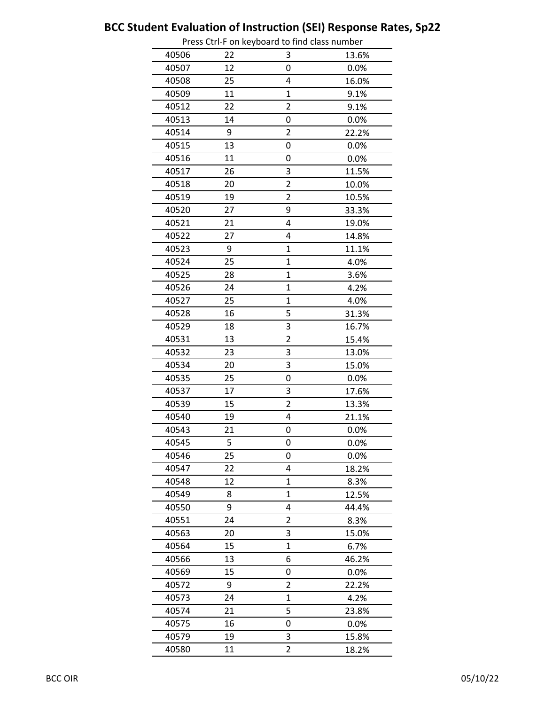|       |    | Press Cur-Flori Reyboard to mid class number |         |
|-------|----|----------------------------------------------|---------|
| 40506 | 22 | 3                                            | 13.6%   |
| 40507 | 12 | 0                                            | 0.0%    |
| 40508 | 25 | 4                                            | 16.0%   |
| 40509 | 11 | $\mathbf{1}$                                 | 9.1%    |
| 40512 | 22 | $\overline{2}$                               | 9.1%    |
| 40513 | 14 | 0                                            | 0.0%    |
| 40514 | 9  | $\overline{2}$                               | 22.2%   |
| 40515 | 13 | 0                                            | 0.0%    |
| 40516 | 11 | 0                                            | 0.0%    |
| 40517 | 26 | 3                                            | 11.5%   |
| 40518 | 20 | $\overline{2}$                               | 10.0%   |
| 40519 | 19 | $\overline{2}$                               | 10.5%   |
| 40520 | 27 | 9                                            | 33.3%   |
| 40521 | 21 | 4                                            | 19.0%   |
| 40522 | 27 | 4                                            | 14.8%   |
| 40523 | 9  | $\mathbf{1}$                                 | 11.1%   |
| 40524 | 25 | $\mathbf 1$                                  | 4.0%    |
| 40525 | 28 | $\mathbf{1}$                                 | 3.6%    |
| 40526 | 24 | $\mathbf{1}$                                 | 4.2%    |
| 40527 | 25 | $\overline{1}$                               | 4.0%    |
| 40528 | 16 | 5                                            | 31.3%   |
| 40529 | 18 | 3                                            | 16.7%   |
| 40531 | 13 | $\overline{2}$                               | 15.4%   |
| 40532 | 23 | 3                                            | 13.0%   |
| 40534 | 20 | 3                                            | 15.0%   |
| 40535 | 25 | 0                                            | 0.0%    |
| 40537 | 17 | 3                                            | 17.6%   |
| 40539 | 15 | $\overline{2}$                               | 13.3%   |
| 40540 | 19 | 4                                            | 21.1%   |
| 40543 | 21 | 0                                            | 0.0%    |
| 40545 | 5  | 0                                            | 0.0%    |
| 40546 | 25 | 0                                            | 0.0%    |
| 40547 | 22 | 4                                            | 18.2%   |
| 40548 | 12 | 1                                            | 8.3%    |
| 40549 | 8  | $\mathbf{1}$                                 | 12.5%   |
| 40550 | 9  | 4                                            | 44.4%   |
| 40551 | 24 | $\overline{2}$                               | 8.3%    |
| 40563 | 20 | 3                                            | 15.0%   |
| 40564 | 15 | $\mathbf{1}$                                 | 6.7%    |
| 40566 | 13 | 6                                            | 46.2%   |
| 40569 | 15 | 0                                            | $0.0\%$ |
| 40572 | 9  | $\overline{2}$                               | 22.2%   |
| 40573 | 24 | 1                                            | 4.2%    |
| 40574 | 21 | 5                                            | 23.8%   |
| 40575 | 16 | 0                                            | 0.0%    |
| 40579 | 19 | 3                                            | 15.8%   |
| 40580 | 11 | 2                                            | 18.2%   |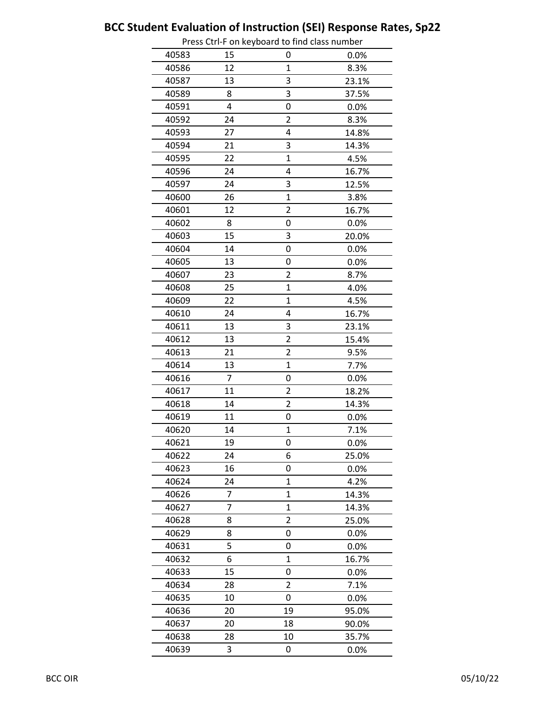|       |    | Press Cur-Flori Reyboard to mid class number |       |
|-------|----|----------------------------------------------|-------|
| 40583 | 15 | 0                                            | 0.0%  |
| 40586 | 12 | 1                                            | 8.3%  |
| 40587 | 13 | 3                                            | 23.1% |
| 40589 | 8  | 3                                            | 37.5% |
| 40591 | 4  | 0                                            | 0.0%  |
| 40592 | 24 | $\overline{2}$                               | 8.3%  |
| 40593 | 27 | 4                                            | 14.8% |
| 40594 | 21 | 3                                            | 14.3% |
| 40595 | 22 | 1                                            | 4.5%  |
| 40596 | 24 | 4                                            | 16.7% |
| 40597 | 24 | 3                                            | 12.5% |
| 40600 | 26 | $\mathbf 1$                                  | 3.8%  |
| 40601 | 12 | $\overline{2}$                               | 16.7% |
| 40602 | 8  | 0                                            | 0.0%  |
| 40603 | 15 | 3                                            | 20.0% |
| 40604 | 14 | 0                                            | 0.0%  |
| 40605 | 13 | 0                                            | 0.0%  |
| 40607 | 23 | 2                                            | 8.7%  |
| 40608 | 25 | $\overline{1}$                               | 4.0%  |
| 40609 | 22 | $\mathbf{1}$                                 | 4.5%  |
| 40610 | 24 | 4                                            | 16.7% |
| 40611 | 13 | 3                                            | 23.1% |
| 40612 | 13 | $\overline{2}$                               | 15.4% |
| 40613 | 21 | $\overline{2}$                               | 9.5%  |
| 40614 | 13 | $\overline{1}$                               | 7.7%  |
| 40616 | 7  | 0                                            | 0.0%  |
| 40617 | 11 | $\overline{2}$                               | 18.2% |
| 40618 | 14 | 2                                            | 14.3% |
| 40619 | 11 | 0                                            | 0.0%  |
| 40620 | 14 | $\mathbf 1$                                  | 7.1%  |
| 40621 | 19 | 0                                            | 0.0%  |
| 40622 | 24 | 6                                            | 25.0% |
| 40623 | 16 | 0                                            | 0.0%  |
| 40624 | 24 | 1                                            | 4.2%  |
| 40626 | 7  | 1                                            | 14.3% |
| 40627 | 7  | $\mathbf 1$                                  | 14.3% |
| 40628 | 8  | $\overline{2}$                               | 25.0% |
| 40629 | 8  | 0                                            | 0.0%  |
| 40631 | 5  | 0                                            | 0.0%  |
| 40632 | 6  | 1                                            | 16.7% |
| 40633 | 15 | 0                                            | 0.0%  |
| 40634 | 28 | $\overline{2}$                               | 7.1%  |
| 40635 | 10 | 0                                            | 0.0%  |
| 40636 | 20 | 19                                           | 95.0% |
| 40637 | 20 | 18                                           | 90.0% |
| 40638 | 28 | 10                                           | 35.7% |
| 40639 | 3  | 0                                            | 0.0%  |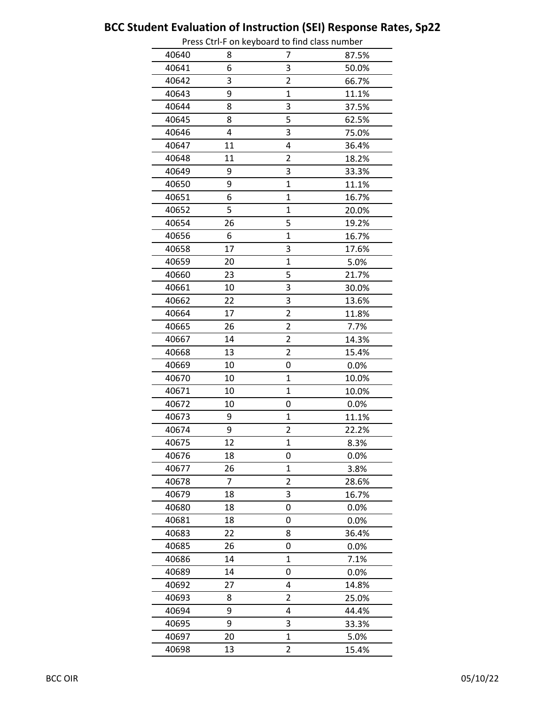|       |    | Press Cu i-F On Reyboard to mid class number |       |
|-------|----|----------------------------------------------|-------|
| 40640 | 8  | 7                                            | 87.5% |
| 40641 | 6  | 3                                            | 50.0% |
| 40642 | 3  | $\overline{2}$                               | 66.7% |
| 40643 | 9  | 1                                            | 11.1% |
| 40644 | 8  | 3                                            | 37.5% |
| 40645 | 8  | 5                                            | 62.5% |
| 40646 | 4  | 3                                            | 75.0% |
| 40647 | 11 | 4                                            | 36.4% |
| 40648 | 11 | $\overline{2}$                               | 18.2% |
| 40649 | 9  | 3                                            | 33.3% |
| 40650 | 9  | $\overline{1}$                               | 11.1% |
| 40651 | 6  | $\overline{1}$                               | 16.7% |
| 40652 | 5  | 1                                            | 20.0% |
| 40654 | 26 | 5                                            | 19.2% |
| 40656 | 6  | 1                                            | 16.7% |
| 40658 | 17 | 3                                            | 17.6% |
| 40659 | 20 | $\overline{1}$                               | 5.0%  |
| 40660 | 23 | 5                                            | 21.7% |
| 40661 | 10 | 3                                            | 30.0% |
| 40662 | 22 | 3                                            | 13.6% |
| 40664 | 17 | $\overline{2}$                               | 11.8% |
| 40665 | 26 | $\overline{2}$                               | 7.7%  |
| 40667 | 14 | $\overline{2}$                               | 14.3% |
| 40668 | 13 | $\overline{\mathbf{c}}$                      | 15.4% |
| 40669 | 10 | 0                                            | 0.0%  |
| 40670 | 10 | 1                                            | 10.0% |
| 40671 | 10 | 1                                            | 10.0% |
| 40672 | 10 | 0                                            | 0.0%  |
| 40673 | 9  | $\mathbf 1$                                  | 11.1% |
| 40674 | 9  | $\overline{\mathbf{c}}$                      | 22.2% |
| 40675 | 12 | $\mathbf 1$                                  | 8.3%  |
| 40676 | 18 | 0                                            | 0.0%  |
| 40677 | 26 | 1                                            | 3.8%  |
| 40678 | 7  | 2                                            | 28.6% |
| 40679 | 18 | 3                                            | 16.7% |
| 40680 | 18 | 0                                            | 0.0%  |
| 40681 | 18 | 0                                            | 0.0%  |
| 40683 | 22 | 8                                            | 36.4% |
| 40685 | 26 | 0                                            | 0.0%  |
| 40686 | 14 | 1                                            | 7.1%  |
| 40689 | 14 | 0                                            | 0.0%  |
| 40692 | 27 | 4                                            | 14.8% |
| 40693 | 8  | 2                                            | 25.0% |
| 40694 | 9  | 4                                            | 44.4% |
| 40695 | 9  | 3                                            | 33.3% |
| 40697 | 20 | $\overline{1}$                               | 5.0%  |
| 40698 | 13 | $\overline{2}$                               | 15.4% |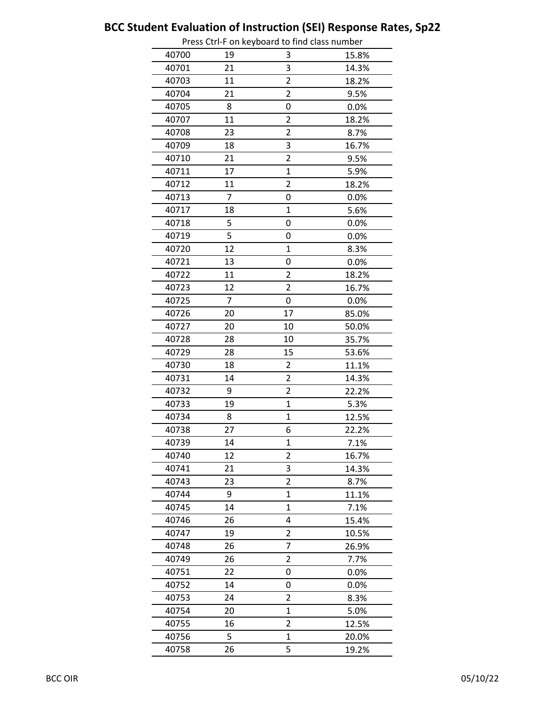|       |    | Press Cu i-F On Reyboard to mid class number |       |
|-------|----|----------------------------------------------|-------|
| 40700 | 19 | 3                                            | 15.8% |
| 40701 | 21 | 3                                            | 14.3% |
| 40703 | 11 | 2                                            | 18.2% |
| 40704 | 21 | $\overline{2}$                               | 9.5%  |
| 40705 | 8  | 0                                            | 0.0%  |
| 40707 | 11 | $\overline{2}$                               | 18.2% |
| 40708 | 23 | $\overline{\mathbf{c}}$                      | 8.7%  |
| 40709 | 18 | 3                                            | 16.7% |
| 40710 | 21 | $\overline{2}$                               | 9.5%  |
| 40711 | 17 | $\mathbf 1$                                  | 5.9%  |
| 40712 | 11 | $\overline{2}$                               | 18.2% |
| 40713 | 7  | 0                                            | 0.0%  |
| 40717 | 18 | 1                                            | 5.6%  |
| 40718 | 5  | 0                                            | 0.0%  |
| 40719 | 5  | 0                                            | 0.0%  |
| 40720 | 12 | 1                                            | 8.3%  |
| 40721 | 13 | 0                                            | 0.0%  |
| 40722 | 11 | $\overline{2}$                               | 18.2% |
| 40723 | 12 | 2                                            | 16.7% |
| 40725 | 7  | 0                                            | 0.0%  |
| 40726 | 20 | 17                                           | 85.0% |
| 40727 | 20 | 10                                           | 50.0% |
| 40728 | 28 | 10                                           | 35.7% |
| 40729 | 28 | 15                                           | 53.6% |
| 40730 | 18 | 2                                            | 11.1% |
| 40731 | 14 | $\overline{2}$                               | 14.3% |
| 40732 | 9  | 2                                            | 22.2% |
| 40733 | 19 | 1                                            | 5.3%  |
| 40734 | 8  | $\mathbf 1$                                  | 12.5% |
| 40738 | 27 | 6                                            | 22.2% |
| 40739 | 14 | $\mathbf 1$                                  | 7.1%  |
| 40740 | 12 | $\overline{2}$                               | 16.7% |
| 40741 | 21 | 3                                            | 14.3% |
| 40743 | 23 | 2                                            | 8.7%  |
| 40744 | 9  | $\mathbf{1}$                                 | 11.1% |
| 40745 | 14 | 1                                            | 7.1%  |
| 40746 | 26 | 4                                            | 15.4% |
| 40747 | 19 | 2                                            | 10.5% |
| 40748 | 26 | 7                                            | 26.9% |
| 40749 | 26 | 2                                            | 7.7%  |
| 40751 | 22 | 0                                            | 0.0%  |
| 40752 | 14 | 0                                            | 0.0%  |
| 40753 | 24 | $\overline{\mathbf{c}}$                      | 8.3%  |
| 40754 | 20 | 1                                            | 5.0%  |
| 40755 | 16 | $\overline{2}$                               | 12.5% |
| 40756 | 5  | 1                                            | 20.0% |
| 40758 | 26 | 5                                            | 19.2% |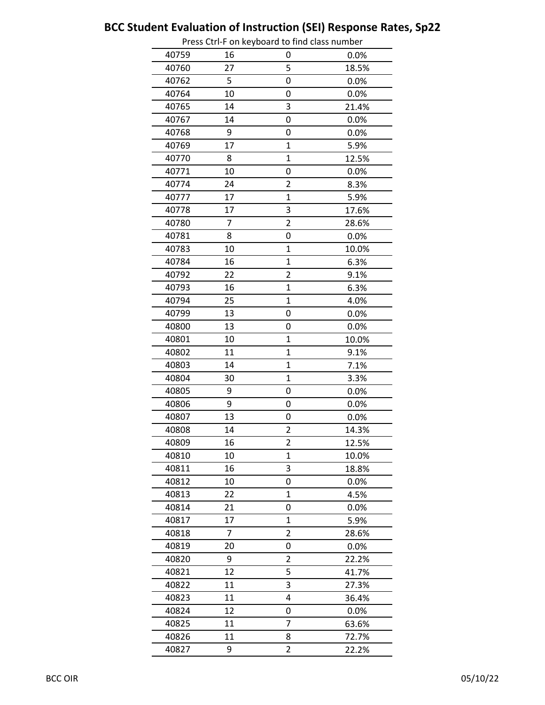|       |    | Press Cu i-F On Reyboard to mid class number |       |
|-------|----|----------------------------------------------|-------|
| 40759 | 16 | 0                                            | 0.0%  |
| 40760 | 27 | 5                                            | 18.5% |
| 40762 | 5  | 0                                            | 0.0%  |
| 40764 | 10 | 0                                            | 0.0%  |
| 40765 | 14 | 3                                            | 21.4% |
| 40767 | 14 | 0                                            | 0.0%  |
| 40768 | 9  | 0                                            | 0.0%  |
| 40769 | 17 | 1                                            | 5.9%  |
| 40770 | 8  | 1                                            | 12.5% |
| 40771 | 10 | 0                                            | 0.0%  |
| 40774 | 24 | $\overline{2}$                               | 8.3%  |
| 40777 | 17 | $\overline{1}$                               | 5.9%  |
| 40778 | 17 | 3                                            | 17.6% |
| 40780 | 7  | $\overline{2}$                               | 28.6% |
| 40781 | 8  | 0                                            | 0.0%  |
| 40783 | 10 | 1                                            | 10.0% |
| 40784 | 16 | $\overline{1}$                               | 6.3%  |
| 40792 | 22 | 2                                            | 9.1%  |
| 40793 | 16 | $\overline{1}$                               | 6.3%  |
| 40794 | 25 | $\overline{1}$                               | 4.0%  |
| 40799 | 13 | 0                                            | 0.0%  |
| 40800 | 13 | 0                                            | 0.0%  |
| 40801 | 10 | 1                                            | 10.0% |
| 40802 | 11 | $\mathbf 1$                                  | 9.1%  |
| 40803 | 14 | $\overline{1}$                               | 7.1%  |
| 40804 | 30 | $\overline{1}$                               | 3.3%  |
| 40805 | 9  | 0                                            | 0.0%  |
| 40806 | 9  | 0                                            | 0.0%  |
| 40807 | 13 | 0                                            | 0.0%  |
| 40808 | 14 | 2                                            | 14.3% |
| 40809 | 16 | $\overline{\mathbf{c}}$                      | 12.5% |
| 40810 | 10 | 1                                            | 10.0% |
| 40811 | 16 | 3                                            | 18.8% |
| 40812 | 10 | 0                                            | 0.0%  |
| 40813 | 22 | $\mathbf{1}$                                 | 4.5%  |
| 40814 | 21 | 0                                            | 0.0%  |
| 40817 | 17 | $\mathbf{1}$                                 | 5.9%  |
| 40818 | 7  | 2                                            | 28.6% |
| 40819 | 20 | 0                                            | 0.0%  |
| 40820 | 9  | 2                                            | 22.2% |
| 40821 | 12 | 5                                            | 41.7% |
| 40822 | 11 | 3                                            | 27.3% |
| 40823 | 11 | 4                                            | 36.4% |
| 40824 | 12 | 0                                            | 0.0%  |
| 40825 | 11 | 7                                            | 63.6% |
| 40826 | 11 | 8                                            | 72.7% |
| 40827 | 9  | $\overline{2}$                               | 22.2% |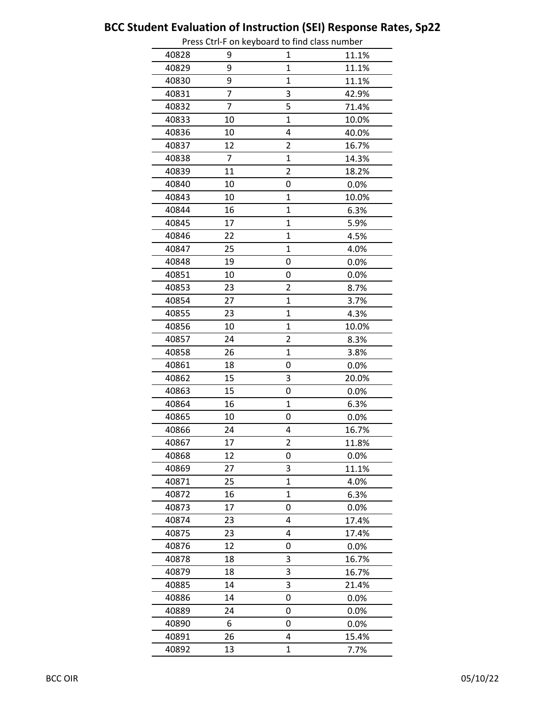|       |    | Press Cur-Flori Reyboard to find class humber |       |
|-------|----|-----------------------------------------------|-------|
| 40828 | 9  | 1                                             | 11.1% |
| 40829 | 9  | 1                                             | 11.1% |
| 40830 | 9  | 1                                             | 11.1% |
| 40831 | 7  | 3                                             | 42.9% |
| 40832 | 7  | 5                                             | 71.4% |
| 40833 | 10 | $\overline{1}$                                | 10.0% |
| 40836 | 10 | 4                                             | 40.0% |
| 40837 | 12 | $\overline{2}$                                | 16.7% |
| 40838 | 7  | 1                                             | 14.3% |
| 40839 | 11 | $\overline{2}$                                | 18.2% |
| 40840 | 10 | 0                                             | 0.0%  |
| 40843 | 10 | $\mathbf 1$                                   | 10.0% |
| 40844 | 16 | 1                                             | 6.3%  |
| 40845 | 17 | 1                                             | 5.9%  |
| 40846 | 22 | $\overline{1}$                                | 4.5%  |
| 40847 | 25 | 1                                             | 4.0%  |
| 40848 | 19 | 0                                             | 0.0%  |
| 40851 | 10 | 0                                             | 0.0%  |
| 40853 | 23 | 2                                             | 8.7%  |
| 40854 | 27 | $\overline{1}$                                | 3.7%  |
| 40855 | 23 | 1                                             | 4.3%  |
| 40856 | 10 | 1                                             | 10.0% |
| 40857 | 24 | 2                                             | 8.3%  |
| 40858 | 26 | $\mathbf 1$                                   | 3.8%  |
| 40861 | 18 | 0                                             | 0.0%  |
| 40862 | 15 | 3                                             | 20.0% |
| 40863 | 15 | 0                                             | 0.0%  |
| 40864 | 16 | 1                                             | 6.3%  |
| 40865 | 10 | 0                                             | 0.0%  |
| 40866 | 24 | 4                                             | 16.7% |
| 40867 | 17 | $\overline{\mathbf{c}}$                       | 11.8% |
| 40868 | 12 | 0                                             | 0.0%  |
| 40869 | 27 | 3                                             | 11.1% |
| 40871 | 25 | 1                                             | 4.0%  |
| 40872 | 16 | 1                                             | 6.3%  |
| 40873 | 17 | 0                                             | 0.0%  |
| 40874 | 23 | 4                                             | 17.4% |
| 40875 | 23 | 4                                             | 17.4% |
| 40876 | 12 | 0                                             | 0.0%  |
| 40878 | 18 | 3                                             | 16.7% |
| 40879 | 18 | 3                                             | 16.7% |
| 40885 | 14 | 3                                             | 21.4% |
| 40886 | 14 | 0                                             | 0.0%  |
| 40889 | 24 | 0                                             | 0.0%  |
| 40890 | 6  | 0                                             | 0.0%  |
| 40891 | 26 | 4                                             | 15.4% |
| 40892 | 13 | $\overline{1}$                                | 7.7%  |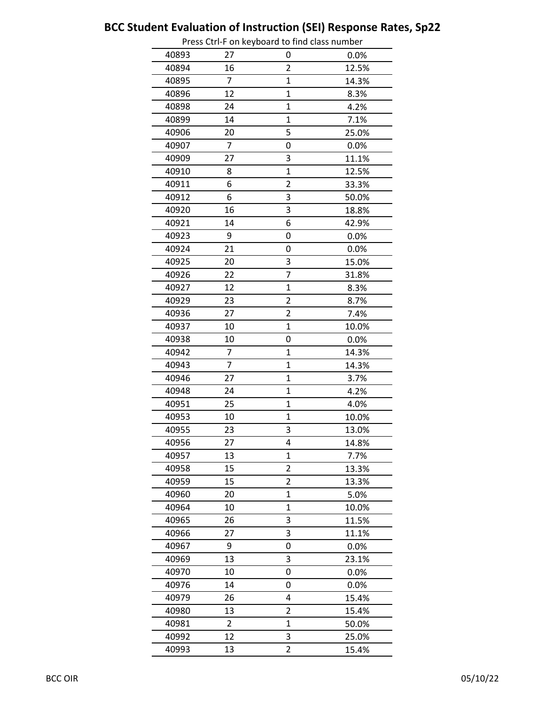|       |    | Press Cur-Flori Reyboard to mid class number |       |
|-------|----|----------------------------------------------|-------|
| 40893 | 27 | 0                                            | 0.0%  |
| 40894 | 16 | $\overline{2}$                               | 12.5% |
| 40895 | 7  | 1                                            | 14.3% |
| 40896 | 12 | $\mathbf{1}$                                 | 8.3%  |
| 40898 | 24 | 1                                            | 4.2%  |
| 40899 | 14 | $\overline{1}$                               | 7.1%  |
| 40906 | 20 | 5                                            | 25.0% |
| 40907 | 7  | 0                                            | 0.0%  |
| 40909 | 27 | 3                                            | 11.1% |
| 40910 | 8  | $\overline{1}$                               | 12.5% |
| 40911 | 6  | $\overline{2}$                               | 33.3% |
| 40912 | 6  | 3                                            | 50.0% |
| 40920 | 16 | 3                                            | 18.8% |
| 40921 | 14 | 6                                            | 42.9% |
| 40923 | 9  | 0                                            | 0.0%  |
| 40924 | 21 | 0                                            | 0.0%  |
| 40925 | 20 | 3                                            | 15.0% |
| 40926 | 22 | 7                                            | 31.8% |
| 40927 | 12 | $\overline{1}$                               | 8.3%  |
| 40929 | 23 | $\overline{2}$                               | 8.7%  |
| 40936 | 27 | $\overline{2}$                               | 7.4%  |
| 40937 | 10 | $\overline{1}$                               | 10.0% |
| 40938 | 10 | 0                                            | 0.0%  |
| 40942 | 7  | $\mathbf{1}$                                 | 14.3% |
| 40943 | 7  | $\overline{1}$                               | 14.3% |
| 40946 | 27 | $\mathbf{1}$                                 | 3.7%  |
| 40948 | 24 | $\mathbf{1}$                                 | 4.2%  |
| 40951 | 25 | $\overline{1}$                               | 4.0%  |
| 40953 | 10 | $\overline{1}$                               | 10.0% |
| 40955 | 23 | 3                                            | 13.0% |
| 40956 | 27 | 4                                            | 14.8% |
| 40957 | 13 | $\mathbf{1}$                                 | 7.7%  |
| 40958 | 15 | $\overline{2}$                               | 13.3% |
| 40959 | 15 | 2                                            | 13.3% |
| 40960 | 20 | 1                                            | 5.0%  |
| 40964 | 10 | 1                                            | 10.0% |
| 40965 | 26 | 3                                            | 11.5% |
| 40966 | 27 | 3                                            | 11.1% |
| 40967 | 9  | 0                                            | 0.0%  |
| 40969 | 13 | 3                                            | 23.1% |
| 40970 | 10 | 0                                            | 0.0%  |
| 40976 | 14 | 0                                            | 0.0%  |
| 40979 | 26 | 4                                            | 15.4% |
| 40980 | 13 | $\overline{2}$                               | 15.4% |
| 40981 | 2  | 1                                            | 50.0% |
| 40992 | 12 | 3                                            | 25.0% |
| 40993 | 13 | $\overline{2}$                               | 15.4% |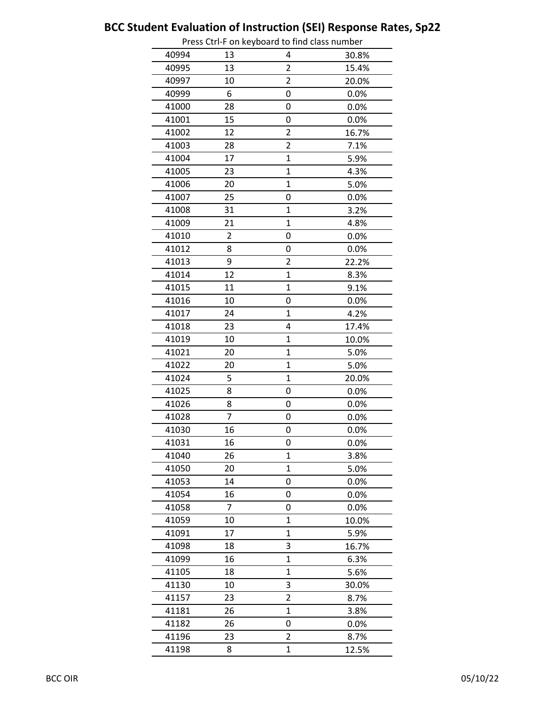|       |    | Press Cur-Flori Reyboard to find class humber |       |
|-------|----|-----------------------------------------------|-------|
| 40994 | 13 | 4                                             | 30.8% |
| 40995 | 13 | $\overline{2}$                                | 15.4% |
| 40997 | 10 | 2                                             | 20.0% |
| 40999 | 6  | 0                                             | 0.0%  |
| 41000 | 28 | 0                                             | 0.0%  |
| 41001 | 15 | 0                                             | 0.0%  |
| 41002 | 12 | $\overline{2}$                                | 16.7% |
| 41003 | 28 | $\overline{2}$                                | 7.1%  |
| 41004 | 17 | 1                                             | 5.9%  |
| 41005 | 23 | $\overline{1}$                                | 4.3%  |
| 41006 | 20 | $\overline{1}$                                | 5.0%  |
| 41007 | 25 | 0                                             | 0.0%  |
| 41008 | 31 | $\mathbf{1}$                                  | 3.2%  |
| 41009 | 21 | 1                                             | 4.8%  |
| 41010 | 2  | 0                                             | 0.0%  |
| 41012 | 8  | 0                                             | 0.0%  |
| 41013 | 9  | 2                                             | 22.2% |
| 41014 | 12 | $\overline{1}$                                | 8.3%  |
| 41015 | 11 | $\overline{1}$                                | 9.1%  |
| 41016 | 10 | 0                                             | 0.0%  |
| 41017 | 24 | 1                                             | 4.2%  |
| 41018 | 23 | 4                                             | 17.4% |
| 41019 | 10 | $\overline{1}$                                | 10.0% |
| 41021 | 20 | $\mathbf 1$                                   | 5.0%  |
| 41022 | 20 | $\overline{1}$                                | 5.0%  |
| 41024 | 5  | $\mathbf 1$                                   | 20.0% |
| 41025 | 8  | 0                                             | 0.0%  |
| 41026 | 8  | 0                                             | 0.0%  |
| 41028 | 7  | 0                                             | 0.0%  |
| 41030 | 16 | 0                                             | 0.0%  |
| 41031 | 16 | 0                                             | 0.0%  |
| 41040 | 26 | $\mathbf{1}$                                  | 3.8%  |
| 41050 | 20 | $\mathbf{1}$                                  | 5.0%  |
| 41053 | 14 | 0                                             | 0.0%  |
| 41054 | 16 | 0                                             | 0.0%  |
| 41058 | 7  | 0                                             | 0.0%  |
| 41059 | 10 | $\overline{1}$                                | 10.0% |
| 41091 | 17 | $\overline{1}$                                | 5.9%  |
| 41098 | 18 | 3                                             | 16.7% |
| 41099 | 16 | $\overline{1}$                                | 6.3%  |
| 41105 | 18 | 1                                             | 5.6%  |
| 41130 | 10 | 3                                             | 30.0% |
| 41157 | 23 | $\overline{2}$                                | 8.7%  |
| 41181 | 26 | $\mathbf{1}$                                  | 3.8%  |
| 41182 | 26 | 0                                             | 0.0%  |
| 41196 | 23 | $\overline{2}$                                | 8.7%  |
| 41198 | 8  | $\overline{1}$                                | 12.5% |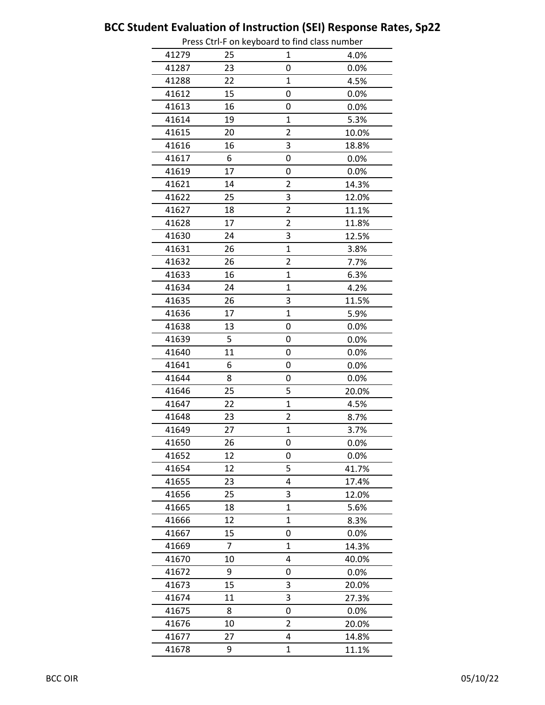|       |    | Press Curri on Reyboard to mid class number |       |
|-------|----|---------------------------------------------|-------|
| 41279 | 25 | 1                                           | 4.0%  |
| 41287 | 23 | 0                                           | 0.0%  |
| 41288 | 22 | 1                                           | 4.5%  |
| 41612 | 15 | 0                                           | 0.0%  |
| 41613 | 16 | 0                                           | 0.0%  |
| 41614 | 19 | 1                                           | 5.3%  |
| 41615 | 20 | $\overline{2}$                              | 10.0% |
| 41616 | 16 | 3                                           | 18.8% |
| 41617 | 6  | 0                                           | 0.0%  |
| 41619 | 17 | 0                                           | 0.0%  |
| 41621 | 14 | $\overline{2}$                              | 14.3% |
| 41622 | 25 | 3                                           | 12.0% |
| 41627 | 18 | $\overline{2}$                              | 11.1% |
| 41628 | 17 | 2                                           | 11.8% |
| 41630 | 24 | 3                                           | 12.5% |
| 41631 | 26 | $\overline{1}$                              | 3.8%  |
| 41632 | 26 | $\overline{\mathbf{c}}$                     | 7.7%  |
| 41633 | 16 | $\mathbf{1}$                                | 6.3%  |
| 41634 | 24 | 1                                           | 4.2%  |
| 41635 | 26 | 3                                           | 11.5% |
| 41636 | 17 | $\overline{1}$                              | 5.9%  |
| 41638 | 13 | 0                                           | 0.0%  |
| 41639 | 5  | 0                                           | 0.0%  |
| 41640 | 11 | 0                                           | 0.0%  |
| 41641 | 6  | 0                                           | 0.0%  |
| 41644 | 8  | 0                                           | 0.0%  |
| 41646 | 25 | 5                                           | 20.0% |
| 41647 | 22 | $\overline{1}$                              | 4.5%  |
| 41648 | 23 | $\overline{\mathbf{c}}$                     | 8.7%  |
| 41649 | 27 | $\mathbf 1$                                 | 3.7%  |
| 41650 | 26 | 0                                           | 0.0%  |
| 41652 | 12 | 0                                           | 0.0%  |
| 41654 | 12 | 5                                           | 41.7% |
| 41655 | 23 | 4                                           | 17.4% |
| 41656 | 25 | 3                                           | 12.0% |
| 41665 | 18 | $\mathbf 1$                                 | 5.6%  |
| 41666 | 12 | 1                                           | 8.3%  |
| 41667 | 15 | 0                                           | 0.0%  |
| 41669 | 7  | 1                                           | 14.3% |
| 41670 | 10 | 4                                           | 40.0% |
| 41672 | 9  | 0                                           | 0.0%  |
| 41673 | 15 | 3                                           | 20.0% |
| 41674 | 11 | 3                                           | 27.3% |
| 41675 | 8  | 0                                           | 0.0%  |
| 41676 | 10 | 2                                           | 20.0% |
| 41677 | 27 | 4                                           | 14.8% |
| 41678 | 9  | $\mathbf{1}$                                | 11.1% |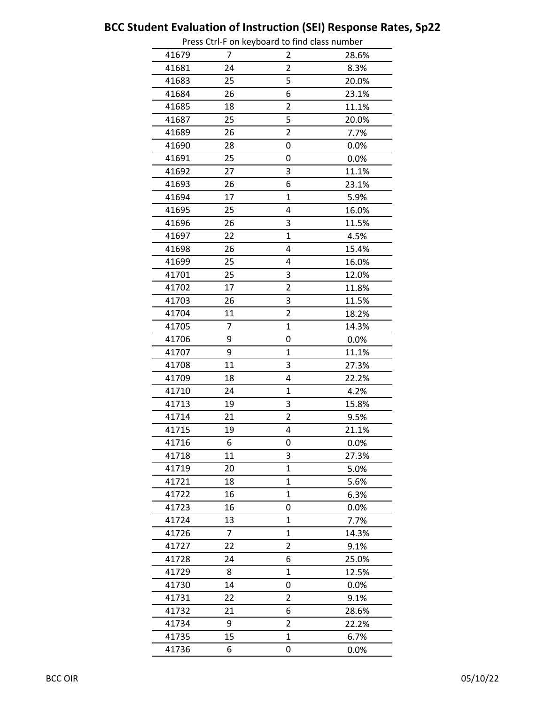|       |    | Press Cur-Flori Reyboard to mid class number |       |
|-------|----|----------------------------------------------|-------|
| 41679 | 7  | 2                                            | 28.6% |
| 41681 | 24 | $\overline{2}$                               | 8.3%  |
| 41683 | 25 | 5                                            | 20.0% |
| 41684 | 26 | 6                                            | 23.1% |
| 41685 | 18 | 2                                            | 11.1% |
| 41687 | 25 | 5                                            | 20.0% |
| 41689 | 26 | $\overline{2}$                               | 7.7%  |
| 41690 | 28 | 0                                            | 0.0%  |
| 41691 | 25 | 0                                            | 0.0%  |
| 41692 | 27 | 3                                            | 11.1% |
| 41693 | 26 | 6                                            | 23.1% |
| 41694 | 17 | $\overline{1}$                               | 5.9%  |
| 41695 | 25 | 4                                            | 16.0% |
| 41696 | 26 | 3                                            | 11.5% |
| 41697 | 22 | $\overline{1}$                               | 4.5%  |
| 41698 | 26 | 4                                            | 15.4% |
| 41699 | 25 | 4                                            | 16.0% |
| 41701 | 25 | 3                                            | 12.0% |
| 41702 | 17 | $\overline{2}$                               | 11.8% |
| 41703 | 26 | 3                                            | 11.5% |
| 41704 | 11 | $\overline{2}$                               | 18.2% |
| 41705 | 7  | $\overline{1}$                               | 14.3% |
| 41706 | 9  | 0                                            | 0.0%  |
| 41707 | 9  | $\mathbf{1}$                                 | 11.1% |
| 41708 | 11 | 3                                            | 27.3% |
| 41709 | 18 | 4                                            | 22.2% |
| 41710 | 24 | 1                                            | 4.2%  |
| 41713 | 19 | 3                                            | 15.8% |
| 41714 | 21 | $\overline{2}$                               | 9.5%  |
| 41715 | 19 | 4                                            | 21.1% |
| 41716 | 6  | 0                                            | 0.0%  |
| 41718 | 11 | 3                                            | 27.3% |
| 41719 | 20 | $\mathbf{1}$                                 | 5.0%  |
| 41721 | 18 | 1                                            | 5.6%  |
| 41722 | 16 | 1                                            | 6.3%  |
| 41723 | 16 | 0                                            | 0.0%  |
| 41724 | 13 | $\mathbf{1}$                                 | 7.7%  |
| 41726 | 7  | $\mathbf{1}$                                 | 14.3% |
| 41727 | 22 | $\overline{2}$                               | 9.1%  |
| 41728 | 24 | 6                                            | 25.0% |
| 41729 | 8  | 1                                            | 12.5% |
| 41730 | 14 | 0                                            | 0.0%  |
| 41731 | 22 | 2                                            | 9.1%  |
| 41732 | 21 | 6                                            | 28.6% |
| 41734 | 9  | 2                                            | 22.2% |
| 41735 | 15 | $\mathbf{1}$                                 | 6.7%  |
| 41736 | 6  | 0                                            | 0.0%  |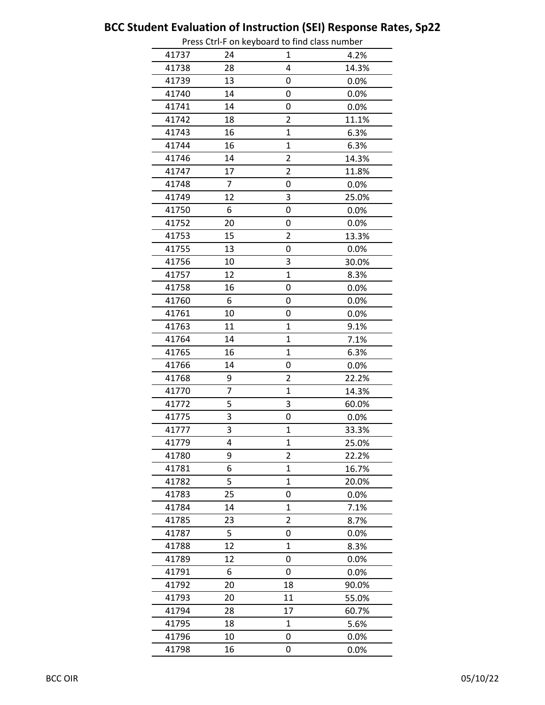|       |    | Press Cur-Flori Reyboard to find class humber |       |
|-------|----|-----------------------------------------------|-------|
| 41737 | 24 | 1                                             | 4.2%  |
| 41738 | 28 | 4                                             | 14.3% |
| 41739 | 13 | 0                                             | 0.0%  |
| 41740 | 14 | 0                                             | 0.0%  |
| 41741 | 14 | 0                                             | 0.0%  |
| 41742 | 18 | $\overline{2}$                                | 11.1% |
| 41743 | 16 | $\overline{1}$                                | 6.3%  |
| 41744 | 16 | $\overline{1}$                                | 6.3%  |
| 41746 | 14 | $\overline{2}$                                | 14.3% |
| 41747 | 17 | $\overline{2}$                                | 11.8% |
| 41748 | 7  | 0                                             | 0.0%  |
| 41749 | 12 | 3                                             | 25.0% |
| 41750 | 6  | 0                                             | 0.0%  |
| 41752 | 20 | 0                                             | 0.0%  |
| 41753 | 15 | 2                                             | 13.3% |
| 41755 | 13 | 0                                             | 0.0%  |
| 41756 | 10 | 3                                             | 30.0% |
| 41757 | 12 | 1                                             | 8.3%  |
| 41758 | 16 | 0                                             | 0.0%  |
| 41760 | 6  | 0                                             | 0.0%  |
| 41761 | 10 | 0                                             | 0.0%  |
| 41763 | 11 | 1                                             | 9.1%  |
| 41764 | 14 | $\overline{1}$                                | 7.1%  |
| 41765 | 16 | $\mathbf 1$                                   | 6.3%  |
| 41766 | 14 | 0                                             | 0.0%  |
| 41768 | 9  | 2                                             | 22.2% |
| 41770 | 7  | $\overline{1}$                                | 14.3% |
| 41772 | 5  | 3                                             | 60.0% |
| 41775 | 3  | 0                                             | 0.0%  |
| 41777 | 3  | $\mathbf 1$                                   | 33.3% |
| 41779 | 4  | $\mathbf 1$                                   | 25.0% |
| 41780 | 9  | $\overline{2}$                                | 22.2% |
| 41781 | 6  | $\overline{1}$                                | 16.7% |
| 41782 | 5  | 1                                             | 20.0% |
| 41783 | 25 | 0                                             | 0.0%  |
| 41784 | 14 | $\mathbf 1$                                   | 7.1%  |
| 41785 | 23 | 2                                             | 8.7%  |
| 41787 | 5  | 0                                             | 0.0%  |
| 41788 | 12 | 1                                             | 8.3%  |
| 41789 | 12 | 0                                             | 0.0%  |
| 41791 | 6  | 0                                             | 0.0%  |
| 41792 | 20 | 18                                            | 90.0% |
| 41793 | 20 | 11                                            | 55.0% |
| 41794 | 28 | 17                                            | 60.7% |
| 41795 | 18 | $\mathbf 1$                                   | 5.6%  |
| 41796 | 10 | 0                                             | 0.0%  |
| 41798 | 16 | 0                                             | 0.0%  |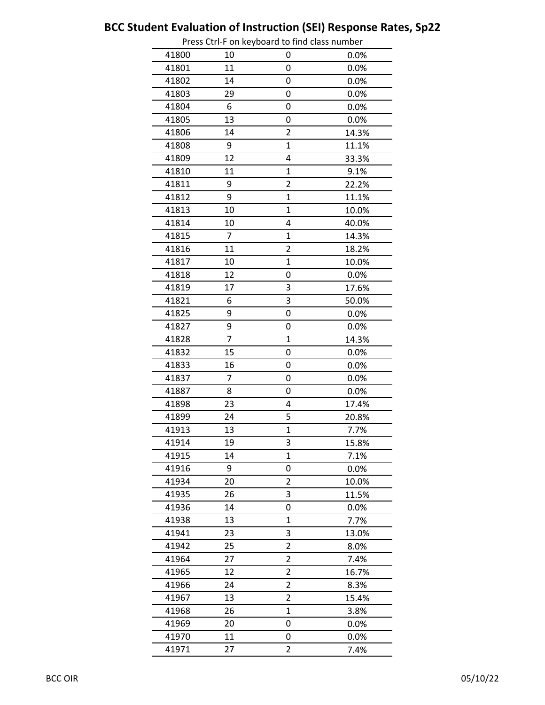|       |                | FIESS CUIFI OII REYDOATU LO IIIIU CIASS HUITIDEI |       |
|-------|----------------|--------------------------------------------------|-------|
| 41800 | 10             | 0                                                | 0.0%  |
| 41801 | 11             | 0                                                | 0.0%  |
| 41802 | 14             | 0                                                | 0.0%  |
| 41803 | 29             | 0                                                | 0.0%  |
| 41804 | 6              | 0                                                | 0.0%  |
| 41805 | 13             | 0                                                | 0.0%  |
| 41806 | 14             | $\overline{2}$                                   | 14.3% |
| 41808 | 9              | 1                                                | 11.1% |
| 41809 | 12             | 4                                                | 33.3% |
| 41810 | 11             | $\mathbf 1$                                      | 9.1%  |
| 41811 | 9              | $\overline{2}$                                   | 22.2% |
| 41812 | 9              | $\overline{1}$                                   | 11.1% |
| 41813 | 10             | $\overline{1}$                                   | 10.0% |
| 41814 | 10             | 4                                                | 40.0% |
| 41815 | $\overline{7}$ | $\mathbf 1$                                      | 14.3% |
| 41816 | 11             | $\overline{2}$                                   | 18.2% |
| 41817 | 10             | $\overline{1}$                                   | 10.0% |
| 41818 | 12             | 0                                                | 0.0%  |
| 41819 | 17             | 3                                                | 17.6% |
| 41821 | 6              | 3                                                | 50.0% |
| 41825 | 9              | 0                                                | 0.0%  |
| 41827 | 9              | 0                                                | 0.0%  |
| 41828 | 7              | $\mathbf 1$                                      | 14.3% |
| 41832 | 15             | 0                                                | 0.0%  |
| 41833 | 16             | 0                                                | 0.0%  |
| 41837 | 7              | 0                                                | 0.0%  |
| 41887 | 8              | 0                                                | 0.0%  |
| 41898 | 23             | 4                                                | 17.4% |
| 41899 | 24             | 5                                                | 20.8% |
| 41913 | 13             | $\mathbf 1$                                      | 7.7%  |
| 41914 | 19             | 3                                                | 15.8% |
| 41915 | 14             | 1                                                | 7.1%  |
| 41916 | 9              | 0                                                | 0.0%  |
| 41934 | 20             | 2                                                | 10.0% |
| 41935 | 26             | 3                                                | 11.5% |
| 41936 | 14             | 0                                                | 0.0%  |
| 41938 | 13             | 1                                                | 7.7%  |
| 41941 | 23             | 3                                                | 13.0% |
| 41942 | 25             | 2                                                | 8.0%  |
| 41964 | 27             | $\overline{c}$                                   | 7.4%  |
| 41965 | 12             | $\overline{c}$                                   | 16.7% |
| 41966 | 24             | $\overline{2}$                                   | 8.3%  |
| 41967 | 13             | $\overline{\mathbf{c}}$                          | 15.4% |
| 41968 | 26             | 1                                                | 3.8%  |
| 41969 | 20             | 0                                                | 0.0%  |
| 41970 | 11             | 0                                                | 0.0%  |
| 41971 | 27             | $\overline{2}$                                   | 7.4%  |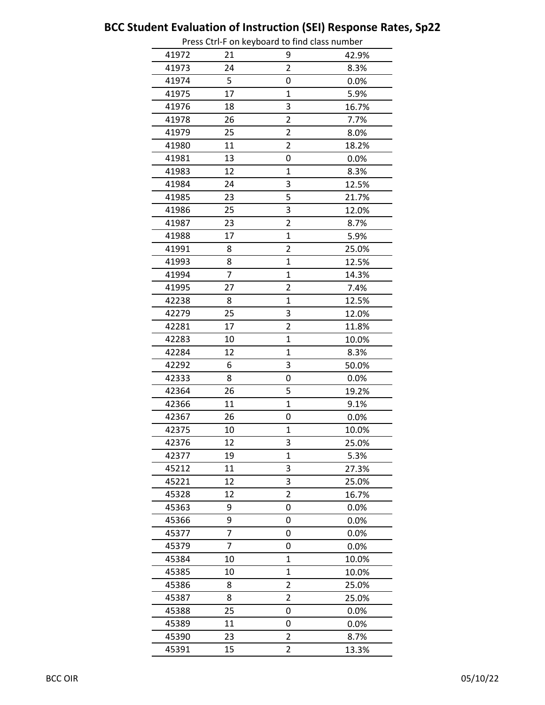|       |    | Press Cur-Flori Reyboard to mid class number |       |
|-------|----|----------------------------------------------|-------|
| 41972 | 21 | 9                                            | 42.9% |
| 41973 | 24 | $\overline{2}$                               | 8.3%  |
| 41974 | 5  | 0                                            | 0.0%  |
| 41975 | 17 | $\mathbf{1}$                                 | 5.9%  |
| 41976 | 18 | 3                                            | 16.7% |
| 41978 | 26 | $\overline{2}$                               | 7.7%  |
| 41979 | 25 | $\overline{2}$                               | 8.0%  |
| 41980 | 11 | $\overline{2}$                               | 18.2% |
| 41981 | 13 | 0                                            | 0.0%  |
| 41983 | 12 | 1                                            | 8.3%  |
| 41984 | 24 | 3                                            | 12.5% |
| 41985 | 23 | 5                                            | 21.7% |
| 41986 | 25 | 3                                            | 12.0% |
| 41987 | 23 | 2                                            | 8.7%  |
| 41988 | 17 | $\overline{1}$                               | 5.9%  |
| 41991 | 8  | $\overline{2}$                               | 25.0% |
| 41993 | 8  | $\overline{1}$                               | 12.5% |
| 41994 | 7  | $\mathbf{1}$                                 | 14.3% |
| 41995 | 27 | $\overline{2}$                               | 7.4%  |
| 42238 | 8  | $\overline{1}$                               | 12.5% |
| 42279 | 25 | 3                                            | 12.0% |
| 42281 | 17 | 2                                            | 11.8% |
| 42283 | 10 | $\overline{1}$                               | 10.0% |
| 42284 | 12 | $\mathbf 1$                                  | 8.3%  |
| 42292 | 6  | 3                                            | 50.0% |
| 42333 | 8  | 0                                            | 0.0%  |
| 42364 | 26 | 5                                            | 19.2% |
| 42366 | 11 | $\mathbf{1}$                                 | 9.1%  |
| 42367 | 26 | 0                                            | 0.0%  |
| 42375 | 10 | $\mathbf 1$                                  | 10.0% |
| 42376 | 12 | 3                                            | 25.0% |
| 42377 | 19 | $\mathbf{1}$                                 | 5.3%  |
| 45212 | 11 | 3                                            | 27.3% |
| 45221 | 12 | 3                                            | 25.0% |
| 45328 | 12 | $\overline{2}$                               | 16.7% |
| 45363 | 9  | 0                                            | 0.0%  |
| 45366 | 9  | 0                                            | 0.0%  |
| 45377 | 7  | 0                                            | 0.0%  |
| 45379 | 7  | 0                                            | 0.0%  |
| 45384 | 10 | 1                                            | 10.0% |
| 45385 | 10 | $\overline{1}$                               | 10.0% |
| 45386 | 8  | $\overline{2}$                               | 25.0% |
| 45387 | 8  | $\overline{2}$                               | 25.0% |
| 45388 | 25 | 0                                            | 0.0%  |
| 45389 | 11 | 0                                            | 0.0%  |
| 45390 | 23 | 2                                            | 8.7%  |
| 45391 | 15 | $\overline{2}$                               | 13.3% |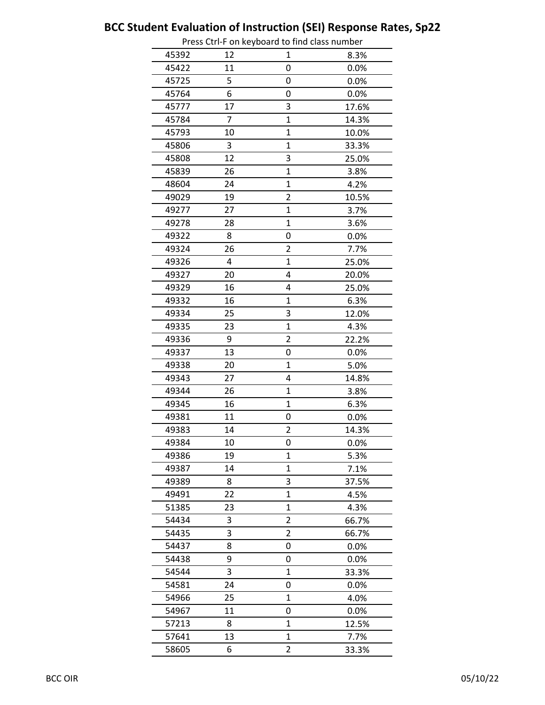|       |    | Press Ctri-F on Reyboard to find class number |       |
|-------|----|-----------------------------------------------|-------|
| 45392 | 12 | 1                                             | 8.3%  |
| 45422 | 11 | 0                                             | 0.0%  |
| 45725 | 5  | 0                                             | 0.0%  |
| 45764 | 6  | 0                                             | 0.0%  |
| 45777 | 17 | 3                                             | 17.6% |
| 45784 | 7  | $\overline{1}$                                | 14.3% |
| 45793 | 10 | $\overline{1}$                                | 10.0% |
| 45806 | 3  | 1                                             | 33.3% |
| 45808 | 12 | 3                                             | 25.0% |
| 45839 | 26 | 1                                             | 3.8%  |
| 48604 | 24 | $\overline{1}$                                | 4.2%  |
| 49029 | 19 | $\overline{2}$                                | 10.5% |
| 49277 | 27 | $\overline{1}$                                | 3.7%  |
| 49278 | 28 | $\overline{1}$                                | 3.6%  |
| 49322 | 8  | 0                                             | 0.0%  |
| 49324 | 26 | $\overline{c}$                                | 7.7%  |
| 49326 | 4  | 1                                             | 25.0% |
| 49327 | 20 | 4                                             | 20.0% |
| 49329 | 16 | 4                                             | 25.0% |
| 49332 | 16 | $\overline{1}$                                | 6.3%  |
| 49334 | 25 | 3                                             | 12.0% |
| 49335 | 23 | 1                                             | 4.3%  |
| 49336 | 9  | $\overline{2}$                                | 22.2% |
| 49337 | 13 | 0                                             | 0.0%  |
| 49338 | 20 | $\mathbf{1}$                                  | 5.0%  |
| 49343 | 27 | 4                                             | 14.8% |
| 49344 | 26 | 1                                             | 3.8%  |
| 49345 | 16 | $\overline{1}$                                | 6.3%  |
| 49381 | 11 | 0                                             | 0.0%  |
| 49383 | 14 | $\overline{\mathbf{c}}$                       | 14.3% |
| 49384 | 10 | U                                             | 0.0%  |
| 49386 | 19 | 1                                             | 5.3%  |
| 49387 | 14 | $\mathbf 1$                                   | 7.1%  |
| 49389 | 8  | 3                                             | 37.5% |
| 49491 | 22 | 1                                             | 4.5%  |
| 51385 | 23 | $\mathbf 1$                                   | 4.3%  |
| 54434 | 3  | $\overline{2}$                                | 66.7% |
| 54435 | 3  | $\overline{c}$                                | 66.7% |
| 54437 | 8  | 0                                             | 0.0%  |
| 54438 | 9  | 0                                             | 0.0%  |
| 54544 | 3  | 1                                             | 33.3% |
| 54581 | 24 | 0                                             | 0.0%  |
| 54966 | 25 | $\mathbf 1$                                   | 4.0%  |
| 54967 | 11 | 0                                             | 0.0%  |
| 57213 | 8  | $\mathbf{1}$                                  | 12.5% |
| 57641 | 13 | 1                                             | 7.7%  |
| 58605 | 6  | $\overline{2}$                                | 33.3% |